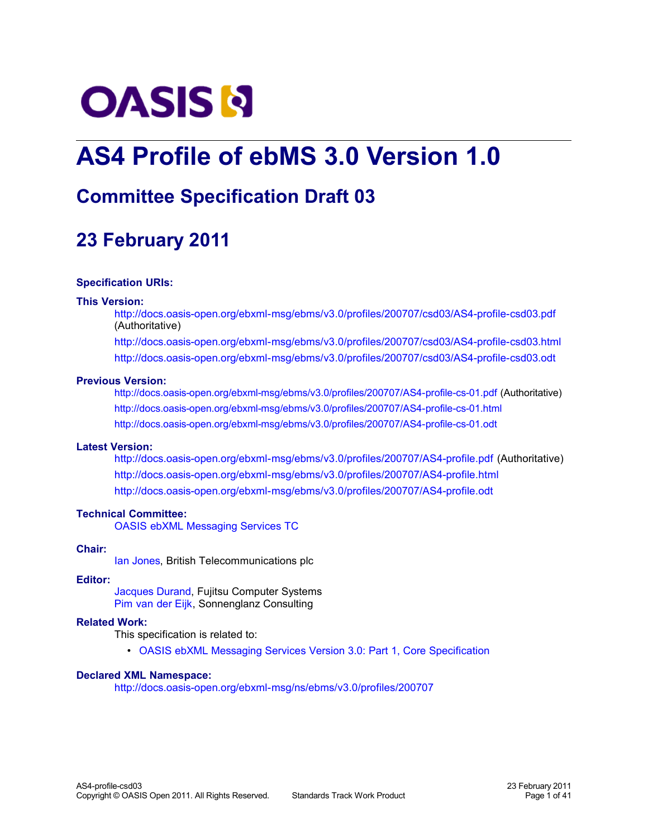# **OASIS N**

## **AS4 Profile of ebMS 3.0 Version 1.0**

## **Committee Specification Draft 03**

## <span id="page-0-0"></span>**23 February 2011**

## **Specification URIs:**

## **This Version:**

<http://docs.oasis-open.org/ebxml-msg/ebms/v3.0/profiles/200707/csd03/AS4-profile-csd03.pdf> (Authoritative)

<http://docs.oasis-open.org/ebxml-msg/ebms/v3.0/profiles/200707/csd03/AS4-profile-csd03.html> <http://docs.oasis-open.org/ebxml-msg/ebms/v3.0/profiles/200707/csd03/AS4-profile-csd03.odt>

## **Previous Version:**

<http://docs.oasis-open.org/ebxml-msg/ebms/v3.0/profiles/200707/AS4-profile-cs-01.pdf>(Authoritative) <http://docs.oasis-open.org/ebxml-msg/ebms/v3.0/profiles/200707/AS4-profile-cs-01.html> <http://docs.oasis-open.org/ebxml-msg/ebms/v3.0/profiles/200707/AS4-profile-cs-01.odt>

## **Latest Version:**

<http://docs.oasis-open.org/ebxml-msg/ebms/v3.0/profiles/200707/AS4-profile.pdf>(Authoritative) <http://docs.oasis-open.org/ebxml-msg/ebms/v3.0/profiles/200707/AS4-profile.html> <http://docs.oasis-open.org/ebxml-msg/ebms/v3.0/profiles/200707/AS4-profile.odt>

## **Technical Committee:**

[OASIS ebXML Messaging Services TC](http://www.oasis-open.org/committees/ebxml-msg/)

## **Chair:**

[Ian Jones,](mailto:ian.c.jones@bt.com) British Telecommunications plc

## **Editor:**

[Jacques Durand,](mailto:jdurand@us.fujitsu.com) Fujitsu Computer Systems [Pim van der Eijk,](mailto:pvde@sonnenglanz.net) Sonnenglanz Consulting

## **Related Work:**

This specification is related to:

• [OASIS ebXML Messaging Services Version 3.0: Part 1, Core Specification](http://docs.oasis-open.org/ebxml-msg/ebms/v3.0/core/ebms_core-3.0-spec.pdf)

## **Declared XML Namespace:**

<http://docs.oasis-open.org/ebxml-msg/ns/ebms/v3.0/profiles/200707>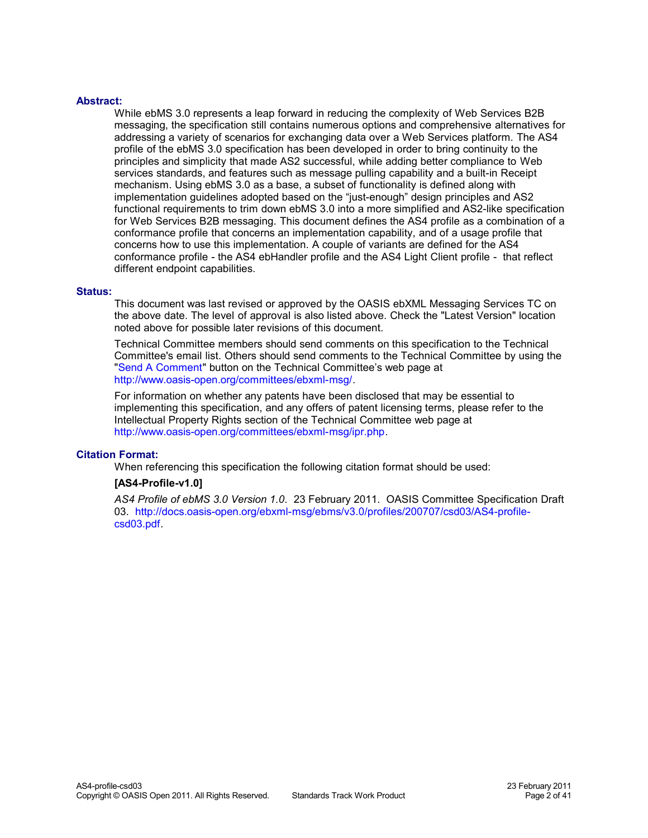## **Abstract:**

While ebMS 3.0 represents a leap forward in reducing the complexity of Web Services B2B messaging, the specification still contains numerous options and comprehensive alternatives for addressing a variety of scenarios for exchanging data over a Web Services platform. The AS4 profile of the ebMS 3.0 specification has been developed in order to bring continuity to the principles and simplicity that made AS2 successful, while adding better compliance to Web services standards, and features such as message pulling capability and a built-in Receipt mechanism. Using ebMS 3.0 as a base, a subset of functionality is defined along with implementation guidelines adopted based on the "just-enough" design principles and AS2 functional requirements to trim down ebMS 3.0 into a more simplified and AS2-like specification for Web Services B2B messaging. This document defines the AS4 profile as a combination of a conformance profile that concerns an implementation capability, and of a usage profile that concerns how to use this implementation. A couple of variants are defined for the AS4 conformance profile - the AS4 ebHandler profile and the AS4 Light Client profile - that reflect different endpoint capabilities.

## **Status:**

This document was last revised or approved by the OASIS ebXML Messaging Services TC on the above date. The level of approval is also listed above. Check the "Latest Version" location noted above for possible later revisions of this document.

Technical Committee members should send comments on this specification to the Technical Committee's email list. Others should send comments to the Technical Committee by using the ["Send A Comment"](http://www.oasis-open.org/committees/comments/form.php?wg_abbrev=ebxml-msg) button on the Technical Committee's web page at [http://www.oasis-open.org/committees/ebxml-msg/.](http://www.oasis-open.org/committees/ebxml-msg/)

For information on whether any patents have been disclosed that may be essential to implementing this specification, and any offers of patent licensing terms, please refer to the Intellectual Property Rights section of the Technical Committee web page at [http://www.oasis-open.org/committees/ebxml-msg/ipr.php.](http://www.oasis-open.org/committees/ebxml-msg/ipr.php)

## **Citation Format:**

When referencing this specification the following citation format should be used:

## **[AS4-Profile-v1.0]**

*AS4 Profile of ebMS 3.0 Version 1.0*. 23 February 2011. OASIS Committee Specification Draft 03. [http://docs.oasis-open.org/ebxml-msg/ebms/v3.0/profiles/200707/csd03/AS4-profile](http://docs.oasis-open.org/ebxml-msg/ebms/v3.0/profiles/200707/csd03/AS4-profile-csd03.pdf)[csd03.pdf.](http://docs.oasis-open.org/ebxml-msg/ebms/v3.0/profiles/200707/csd03/AS4-profile-csd03.pdf)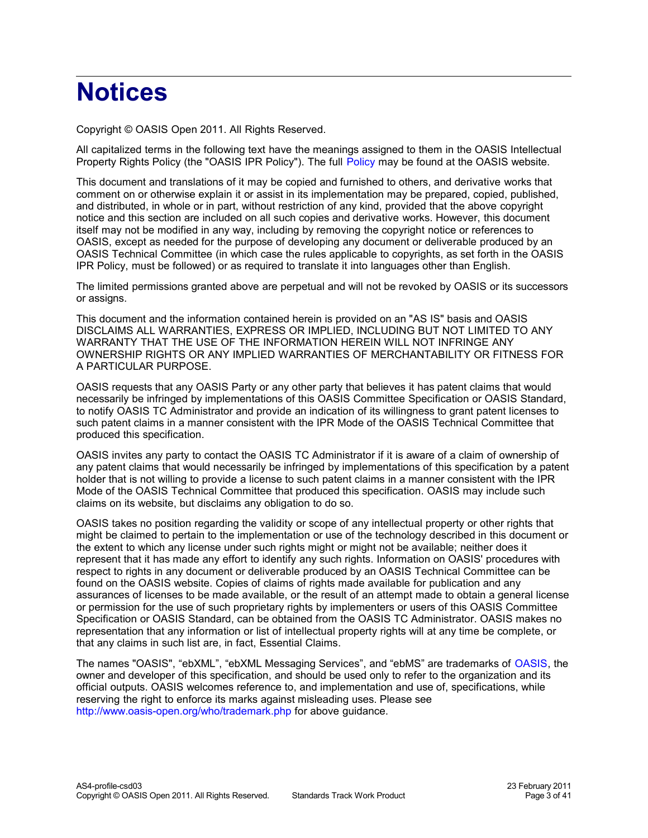## **Notices**

Copyright © OASIS Open 2011. All Rights Reserved.

All capitalized terms in the following text have the meanings assigned to them in the OASIS Intellectual Property Rights Policy (the "OASIS IPR Policy"). The full [Policy](http://www.oasis-open.org/who/intellectualproperty.php) may be found at the OASIS website.

This document and translations of it may be copied and furnished to others, and derivative works that comment on or otherwise explain it or assist in its implementation may be prepared, copied, published, and distributed, in whole or in part, without restriction of any kind, provided that the above copyright notice and this section are included on all such copies and derivative works. However, this document itself may not be modified in any way, including by removing the copyright notice or references to OASIS, except as needed for the purpose of developing any document or deliverable produced by an OASIS Technical Committee (in which case the rules applicable to copyrights, as set forth in the OASIS IPR Policy, must be followed) or as required to translate it into languages other than English.

The limited permissions granted above are perpetual and will not be revoked by OASIS or its successors or assigns.

This document and the information contained herein is provided on an "AS IS" basis and OASIS DISCLAIMS ALL WARRANTIES, EXPRESS OR IMPLIED, INCLUDING BUT NOT LIMITED TO ANY WARRANTY THAT THE USE OF THE INFORMATION HEREIN WILL NOT INFRINGE ANY OWNERSHIP RIGHTS OR ANY IMPLIED WARRANTIES OF MERCHANTABILITY OR FITNESS FOR A PARTICULAR PURPOSE.

OASIS requests that any OASIS Party or any other party that believes it has patent claims that would necessarily be infringed by implementations of this OASIS Committee Specification or OASIS Standard, to notify OASIS TC Administrator and provide an indication of its willingness to grant patent licenses to such patent claims in a manner consistent with the IPR Mode of the OASIS Technical Committee that produced this specification.

OASIS invites any party to contact the OASIS TC Administrator if it is aware of a claim of ownership of any patent claims that would necessarily be infringed by implementations of this specification by a patent holder that is not willing to provide a license to such patent claims in a manner consistent with the IPR Mode of the OASIS Technical Committee that produced this specification. OASIS may include such claims on its website, but disclaims any obligation to do so.

OASIS takes no position regarding the validity or scope of any intellectual property or other rights that might be claimed to pertain to the implementation or use of the technology described in this document or the extent to which any license under such rights might or might not be available; neither does it represent that it has made any effort to identify any such rights. Information on OASIS' procedures with respect to rights in any document or deliverable produced by an OASIS Technical Committee can be found on the OASIS website. Copies of claims of rights made available for publication and any assurances of licenses to be made available, or the result of an attempt made to obtain a general license or permission for the use of such proprietary rights by implementers or users of this OASIS Committee Specification or OASIS Standard, can be obtained from the OASIS TC Administrator. OASIS makes no representation that any information or list of intellectual property rights will at any time be complete, or that any claims in such list are, in fact, Essential Claims.

The names "OASIS", "ebXML", "ebXML Messaging Services", and "ebMS" are trademarks of [OASIS,](http://www.oasis-open.org/) the owner and developer of this specification, and should be used only to refer to the organization and its official outputs. OASIS welcomes reference to, and implementation and use of, specifications, while reserving the right to enforce its marks against misleading uses. Please see <http://www.oasis-open.org/who/trademark.php>for above guidance.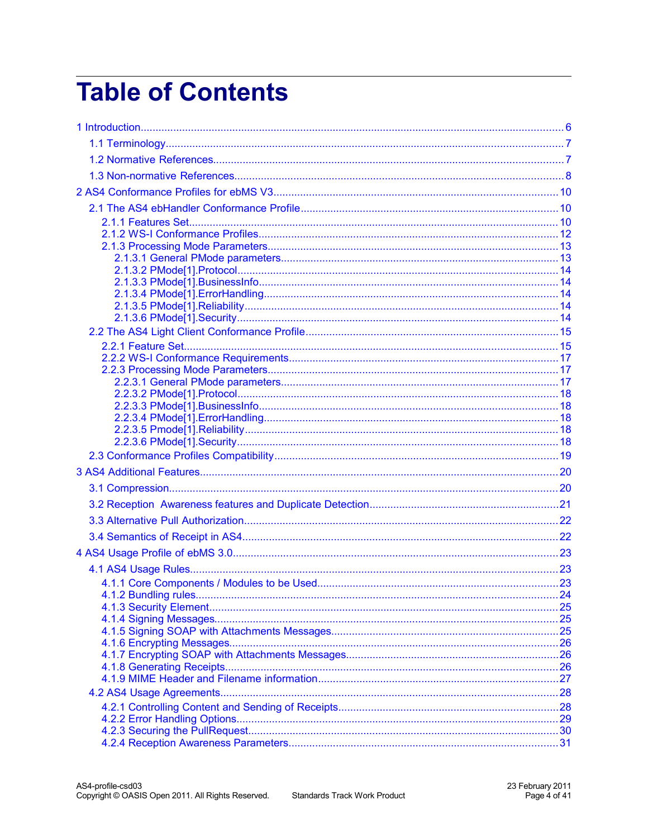## **Table of Contents**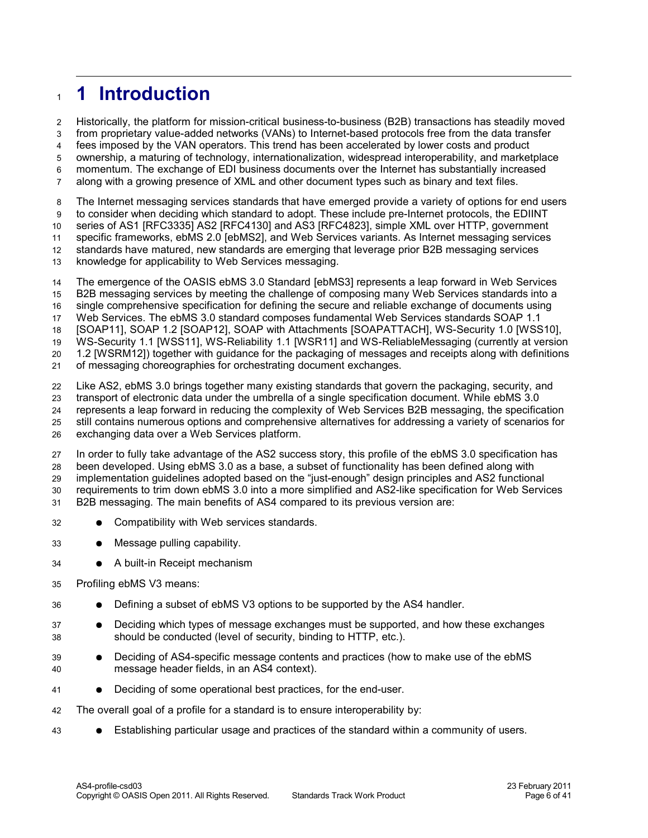### <span id="page-5-0"></span>**1 Introduction** 1

Historically, the platform for mission-critical business-to-business (B2B) transactions has steadily moved from proprietary value-added networks (VANs) to Internet-based protocols free from the data transfer fees imposed by the VAN operators. This trend has been accelerated by lower costs and product ownership, a maturing of technology, internationalization, widespread interoperability, and marketplace momentum. The exchange of EDI business documents over the Internet has substantially increased along with a growing presence of XML and other document types such as binary and text files. 2 3 4 5 6 7

The Internet messaging services standards that have emerged provide a variety of options for end users to consider when deciding which standard to adopt. These include pre-Internet protocols, the EDIINT series of AS1 [\[RFC3335\]](#page-7-6) AS2 [\[RFC4130\]](#page-7-5) and AS3 [\[RFC4823\],](#page-8-4) simple XML over HTTP, government specific frameworks, ebMS 2.0 [\[ebMS2\],](#page-7-4) and Web Services variants. As Internet messaging services 8 9 10 11

- standards have matured, new standards are emerging that leverage prior B2B messaging services 12
- knowledge for applicability to Web Services messaging. 13

The emergence of the OASIS ebMS 3.0 Standard [\[ebMS3\]](#page-6-2) represents a leap forward in Web Services B2B messaging services by meeting the challenge of composing many Web Services standards into a single comprehensive specification for defining the secure and reliable exchange of documents using Web Services. The ebMS 3.0 standard composes fundamental Web Services standards SOAP 1.1 [\[SOAP11\],](#page-8-3) SOAP 1.2 [\[SOAP12\],](#page-7-3) SOAP with Attachments [\[SOAPATTACH\],](#page-7-2) WS-Security 1.0 [\[WSS10\],](#page-8-2) WS-Security 1.1 [\[WSS11\],](#page-7-1) WS-Reliability 1.1 [\[WSR11\]](#page-8-1) and WS-ReliableMessaging (currently at version 1.2 [\[WSRM12\]\)](#page-8-0) together with guidance for the packaging of messages and receipts along with definitions of messaging choreographies for orchestrating document exchanges. 14 15 16 17 18 19 20 21

Like AS2, ebMS 3.0 brings together many existing standards that govern the packaging, security, and transport of electronic data under the umbrella of a single specification document. While ebMS 3.0 represents a leap forward in reducing the complexity of Web Services B2B messaging, the specification still contains numerous options and comprehensive alternatives for addressing a variety of scenarios for exchanging data over a Web Services platform. 22 23 24 25 26

In order to fully take advantage of the AS2 success story, this profile of the ebMS 3.0 specification has been developed. Using ebMS 3.0 as a base, a subset of functionality has been defined along with implementation guidelines adopted based on the "just-enough" design principles and AS2 functional requirements to trim down ebMS 3.0 into a more simplified and AS2-like specification for Web Services B2B messaging. The main benefits of AS4 compared to its previous version are: 27 28 29 30 31

- Compatibility with Web services standards. 32
- Message pulling capability. 33
- A built-in Receipt mechanism 34
- Profiling ebMS V3 means: 35
- Defining a subset of ebMS V3 options to be supported by the AS4 handler. 36
- Deciding which types of message exchanges must be supported, and how these exchanges should be conducted (level of security, binding to HTTP, etc.). 37 38
- Deciding of AS4-specific message contents and practices (how to make use of the ebMS message header fields, in an AS4 context). 39 40
- Deciding of some operational best practices, for the end-user. 41
- The overall goal of a profile for a standard is to ensure interoperability by: 42
- Establishing particular usage and practices of the standard within a community of users. 43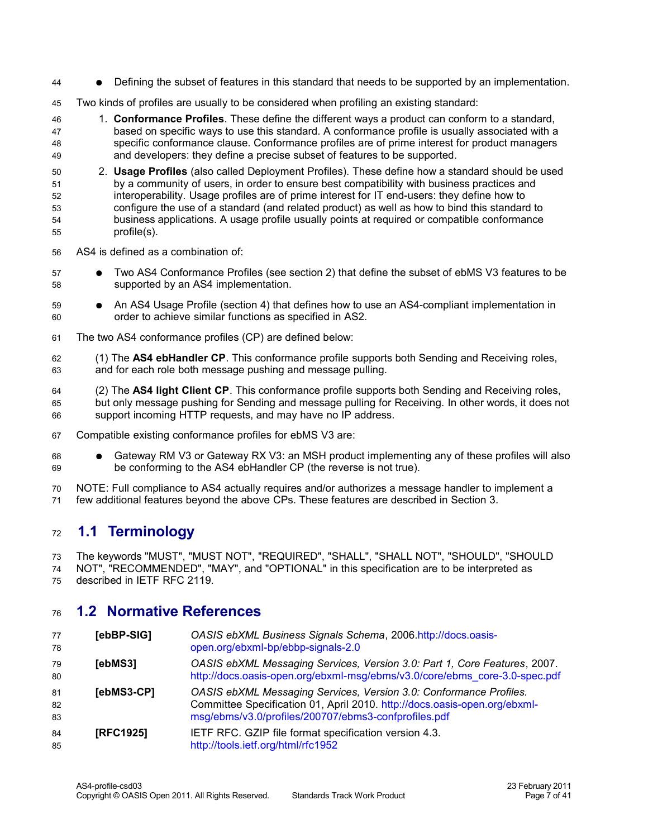- Defining the subset of features in this standard that needs to be supported by an implementation. 44
- Two kinds of profiles are usually to be considered when profiling an existing standard: 45
- 1. **Conformance Profiles**. These define the different ways a product can conform to a standard, based on specific ways to use this standard. A conformance profile is usually associated with a specific conformance clause. Conformance profiles are of prime interest for product managers and developers: they define a precise subset of features to be supported. 46 47 48 49
- 2. **Usage Profiles** (also called Deployment Profiles). These define how a standard should be used by a community of users, in order to ensure best compatibility with business practices and interoperability. Usage profiles are of prime interest for IT end-users: they define how to configure the use of a standard (and related product) as well as how to bind this standard to business applications. A usage profile usually points at required or compatible conformance profile(s). 50 51 52 53 54 55
- AS4 is defined as a combination of: 56
- Two AS4 Conformance Profiles (see section 2) that define the subset of ebMS V3 features to be supported by an AS4 implementation. 57 58
- An AS4 Usage Profile (section 4) that defines how to use an AS4-compliant implementation in order to achieve similar functions as specified in AS2. 59 60
- The two AS4 conformance profiles (CP) are defined below: 61
- (1) The **AS4 ebHandler CP**. This conformance profile supports both Sending and Receiving roles, and for each role both message pushing and message pulling. 62 63
- (2) The **AS4 light Client CP**. This conformance profile supports both Sending and Receiving roles, but only message pushing for Sending and message pulling for Receiving. In other words, it does not support incoming HTTP requests, and may have no IP address. 64 65 66
- Compatible existing conformance profiles for ebMS V3 are: 67
- Gateway RM V3 or Gateway RX V3: an MSH product implementing any of these profiles will also be conforming to the AS4 ebHandler CP (the reverse is not true). 68 69
- NOTE: Full compliance to AS4 actually requires and/or authorizes a message handler to implement a few additional features beyond the above CPs. These features are described in Section 3. 70 71

#### <span id="page-6-1"></span>**1.1 Terminology** 72

The keywords "MUST", "MUST NOT", "REQUIRED", "SHALL", "SHALL NOT", "SHOULD", "SHOULD NOT", "RECOMMENDED", "MAY", and "OPTIONAL" in this specification are to be interpreted as described in IETF RFC 2119. 73 74 75

#### <span id="page-6-0"></span>**1.2 Normative References** 76

<span id="page-6-5"></span><span id="page-6-4"></span><span id="page-6-3"></span><span id="page-6-2"></span>

| 77<br>78       | [ebBP-SIG]       | OASIS ebXML Business Signals Schema, 2006.http://docs.oasis-<br>open.org/ebxml-bp/ebbp-signals-2.0                                                                                                      |
|----------------|------------------|---------------------------------------------------------------------------------------------------------------------------------------------------------------------------------------------------------|
| 79<br>80       | [ebMS3]          | OASIS ebXML Messaging Services, Version 3.0: Part 1, Core Features, 2007.<br>http://docs.oasis-open.org/ebxml-msg/ebms/v3.0/core/ebms_core-3.0-spec.pdf                                                 |
| 81<br>82<br>83 | [ebMS3-CP]       | OASIS ebXML Messaging Services, Version 3.0: Conformance Profiles.<br>Committee Specification 01, April 2010. http://docs.oasis-open.org/ebxml-<br>msg/ebms/v3.0/profiles/200707/ebms3-confprofiles.pdf |
| 84<br>85       | <b>IRFC19251</b> | IETF RFC. GZIP file format specification version 4.3.<br>http://tools.ietf.org/html/rfc1952                                                                                                             |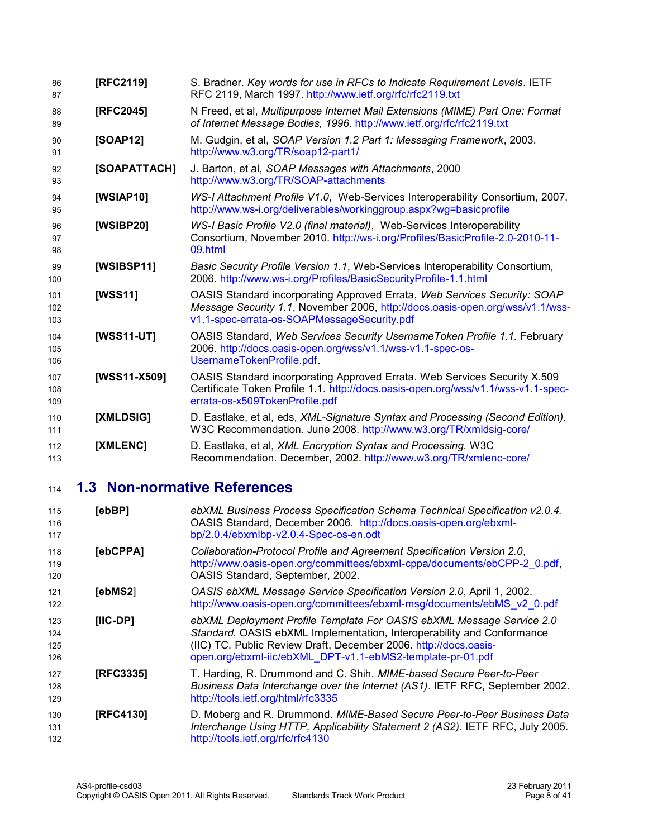<span id="page-7-12"></span><span id="page-7-9"></span><span id="page-7-8"></span><span id="page-7-7"></span><span id="page-7-3"></span><span id="page-7-2"></span>

| 86<br>87          | [RFC2119]    | S. Bradner. Key words for use in RFCs to Indicate Requirement Levels. IETF<br>RFC 2119, March 1997. http://www.ietf.org/rfc/rfc2119.txt                                                                   |
|-------------------|--------------|-----------------------------------------------------------------------------------------------------------------------------------------------------------------------------------------------------------|
| 88<br>89          | [RFC2045]    | N Freed, et al, Multipurpose Internet Mail Extensions (MIME) Part One: Format<br>of Internet Message Bodies, 1996. http://www.ietf.org/rfc/rfc2119.txt                                                    |
| 90<br>91          | [SOAP12]     | M. Gudgin, et al, SOAP Version 1.2 Part 1: Messaging Framework, 2003.<br>http://www.w3.org/TR/soap12-part1/                                                                                               |
| 92<br>93          | [SOAPATTACH] | J. Barton, et al, SOAP Messages with Attachments, 2000<br>http://www.w3.org/TR/SOAP-attachments                                                                                                           |
| 94<br>95          | [WSIAP10]    | WS-I Attachment Profile V1.0, Web-Services Interoperability Consortium, 2007.<br>http://www.ws-i.org/deliverables/workinggroup.aspx?wg=basicprofile                                                       |
| 96<br>97<br>98    | [WSIBP20]    | WS-I Basic Profile V2.0 (final material), Web-Services Interoperability<br>Consortium, November 2010. http://ws-i.org/Profiles/BasicProfile-2.0-2010-11-<br>09.html                                       |
| 99<br>100         | [WSIBSP11]   | Basic Security Profile Version 1.1, Web-Services Interoperability Consortium,<br>2006. http://www.ws-i.org/Profiles/BasicSecurityProfile-1.1.html                                                         |
| 101<br>102<br>103 | [WSS11]      | OASIS Standard incorporating Approved Errata, Web Services Security: SOAP<br>Message Security 1.1, November 2006, http://docs.oasis-open.org/wss/v1.1/wss-<br>v1.1-spec-errata-os-SOAPMessageSecurity.pdf |
| 104<br>105<br>106 | [WSS11-UT]   | OASIS Standard, Web Services Security Username Token Profile 1.1. February<br>2006. http://docs.oasis-open.org/wss/v1.1/wss-v1.1-spec-os-<br>UsernameTokenProfile.pdf.                                    |
| 107<br>108<br>109 | [WSS11-X509] | OASIS Standard incorporating Approved Errata. Web Services Security X.509<br>Certificate Token Profile 1.1. http://docs.oasis-open.org/wss/v1.1/wss-v1.1-spec-<br>errata-os-x509TokenProfile.pdf          |
| 110<br>111        | [XMLDSIG]    | D. Eastlake, et al, eds, XML-Signature Syntax and Processing (Second Edition).<br>W3C Recommendation. June 2008. http://www.w3.org/TR/xmldsig-core/                                                       |
| 112<br>113        | [XMLENC]     | D. Eastlake, et al, XML Encryption Syntax and Processing. W3C<br>Recommendation. December, 2002. http://www.w3.org/TR/xmlenc-core/                                                                        |

#### <span id="page-7-13"></span><span id="page-7-11"></span><span id="page-7-10"></span><span id="page-7-1"></span><span id="page-7-0"></span>**1.3 Non-normative References** 114

<span id="page-7-6"></span><span id="page-7-5"></span><span id="page-7-4"></span>

| 115<br>116<br>117        | [ebBP]    | ebXML Business Process Specification Schema Technical Specification v2.0.4.<br>OASIS Standard, December 2006. http://docs.oasis-open.org/ebxml-<br>bp/2.0.4/ebxmlbp-v2.0.4-Spec-os-en.odt                                                                                         |
|--------------------------|-----------|-----------------------------------------------------------------------------------------------------------------------------------------------------------------------------------------------------------------------------------------------------------------------------------|
| 118<br>119<br>120        | [ebCPPA]  | Collaboration-Protocol Profile and Agreement Specification Version 2.0,<br>http://www.oasis-open.org/committees/ebxml-cppa/documents/ebCPP-2 0.pdf,<br>OASIS Standard, September, 2002.                                                                                           |
| 121<br>122               | [ebMS2]   | OASIS ebXML Message Service Specification Version 2.0, April 1, 2002.<br>http://www.oasis-open.org/committees/ebxml-msg/documents/ebMS_v2_0.pdf                                                                                                                                   |
| 123<br>124<br>125<br>126 | [IIC-DP]  | ebXML Deployment Profile Template For OASIS ebXML Message Service 2.0<br>Standard. OASIS ebXML Implementation, Interoperability and Conformance<br>(IIC) TC. Public Review Draft, December 2006. http://docs.oasis-<br>open.org/ebxml-iic/ebXML_DPT-v1.1-ebMS2-template-pr-01.pdf |
| 127<br>128<br>129        | [RFC3335] | T. Harding, R. Drummond and C. Shih. MIME-based Secure Peer-to-Peer<br>Business Data Interchange over the Internet (AS1). IETF RFC, September 2002.<br>http://tools.ietf.org/html/rfc3335                                                                                         |
| 130<br>131<br>132        | [RFC4130] | D. Moberg and R. Drummond. MIME-Based Secure Peer-to-Peer Business Data<br>Interchange Using HTTP, Applicability Statement 2 (AS2). IETF RFC, July 2005.<br>http://tools.ietf.org/rfc/rfc4130                                                                                     |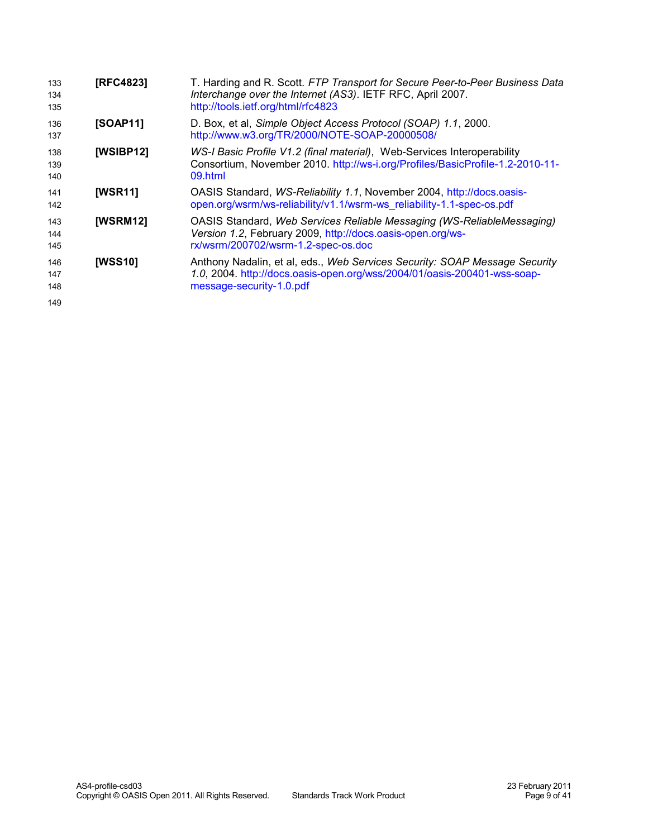<span id="page-8-5"></span><span id="page-8-4"></span><span id="page-8-3"></span><span id="page-8-2"></span><span id="page-8-1"></span><span id="page-8-0"></span>

| 133<br>134<br>135 | [RFC4823]       | T. Harding and R. Scott. FTP Transport for Secure Peer-to-Peer Business Data<br>Interchange over the Internet (AS3). IETF RFC, April 2007.<br>http://tools.ietf.org/html/rfc4823   |
|-------------------|-----------------|------------------------------------------------------------------------------------------------------------------------------------------------------------------------------------|
| 136<br>137        | [SOAP11]        | D. Box, et al, Simple Object Access Protocol (SOAP) 1.1, 2000.<br>http://www.w3.org/TR/2000/NOTE-SOAP-20000508/                                                                    |
| 138<br>139<br>140 | [WSIBP12]       | WS-I Basic Profile V1.2 (final material), Web-Services Interoperability<br>Consortium, November 2010. http://ws-i.org/Profiles/BasicProfile-1.2-2010-11-<br>09.html                |
| 141<br>142        | <b>[WSR11]</b>  | OASIS Standard, WS-Reliability 1.1, November 2004, http://docs.oasis-<br>open.org/wsrm/ws-reliability/v1.1/wsrm-ws reliability-1.1-spec-os.pdf                                     |
| 143<br>144<br>145 | <b>[WSRM12]</b> | OASIS Standard, Web Services Reliable Messaging (WS-ReliableMessaging)<br>Version 1.2, February 2009, http://docs.oasis-open.org/ws-<br>rx/wsrm/200702/wsrm-1.2-spec-os.doc        |
| 146<br>147<br>148 | <b>[WSS10]</b>  | Anthony Nadalin, et al, eds., Web Services Security: SOAP Message Security<br>1.0, 2004. http://docs.oasis-open.org/wss/2004/01/oasis-200401-wss-soap-<br>message-security-1.0.pdf |
| 149               |                 |                                                                                                                                                                                    |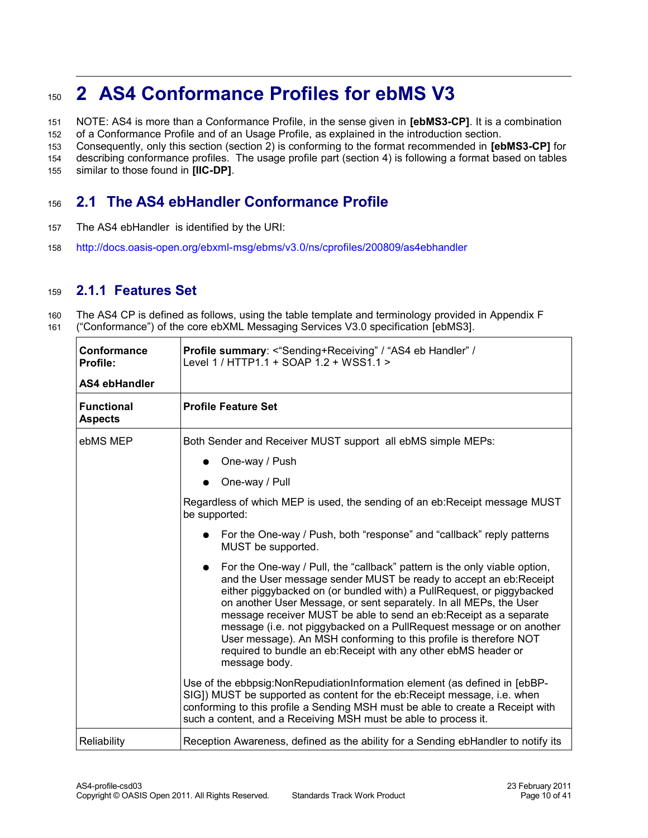### <span id="page-9-2"></span>**2 AS4 Conformance Profiles for ebMS V3** 150

NOTE: AS4 is more than a Conformance Profile, in the sense given in **[ebMS3-CP]**. It is a combination of a Conformance Profile and of an Usage Profile, as explained in the introduction section. 151 152

Consequently, only this section (section 2) is conforming to the format recommended in **[ebMS3-CP]** for 153

describing conformance profiles. The usage profile part (section 4) is following a format based on tables 154

similar to those found in **[IIC-DP]**. 155

#### <span id="page-9-1"></span>**2.1 The AS4 ebHandler Conformance Profile** 156

- The AS4 ebHandler is identified by the URI: 157
- <http://docs.oasis-open.org/ebxml-msg/ebms/v3.0/ns/cprofiles/200809/as4ebhandler> 158

#### <span id="page-9-0"></span>**2.1.1 Features Set** 159

The AS4 CP is defined as follows, using the table template and terminology provided in Appendix F ("Conformance") of the core ebXML Messaging Services V3.0 specification [\[ebMS3\].](#page-6-2) 160 161

| Conformance<br>Profile:<br>AS4 ebHandler | Profile summary: <"Sending+Receiving" / "AS4 eb Handler" /<br>Level 1 / HTTP1.1 + SOAP 1.2 + WSS1.1 >                                                                                                                                                                                                                                                                                                                                                                                                                                                                                              |
|------------------------------------------|----------------------------------------------------------------------------------------------------------------------------------------------------------------------------------------------------------------------------------------------------------------------------------------------------------------------------------------------------------------------------------------------------------------------------------------------------------------------------------------------------------------------------------------------------------------------------------------------------|
| <b>Functional</b><br><b>Aspects</b>      | <b>Profile Feature Set</b>                                                                                                                                                                                                                                                                                                                                                                                                                                                                                                                                                                         |
| ebMS MEP                                 | Both Sender and Receiver MUST support all ebMS simple MEPs:                                                                                                                                                                                                                                                                                                                                                                                                                                                                                                                                        |
|                                          | One-way / Push                                                                                                                                                                                                                                                                                                                                                                                                                                                                                                                                                                                     |
|                                          | One-way / Pull                                                                                                                                                                                                                                                                                                                                                                                                                                                                                                                                                                                     |
|                                          | Regardless of which MEP is used, the sending of an eb: Receipt message MUST<br>be supported:                                                                                                                                                                                                                                                                                                                                                                                                                                                                                                       |
|                                          | For the One-way / Push, both "response" and "callback" reply patterns<br>MUST be supported.                                                                                                                                                                                                                                                                                                                                                                                                                                                                                                        |
|                                          | For the One-way / Pull, the "callback" pattern is the only viable option,<br>and the User message sender MUST be ready to accept an eb:Receipt<br>either piggybacked on (or bundled with) a PullRequest, or piggybacked<br>on another User Message, or sent separately. In all MEPs, the User<br>message receiver MUST be able to send an eb:Receipt as a separate<br>message (i.e. not piggybacked on a PullRequest message or on another<br>User message). An MSH conforming to this profile is therefore NOT<br>required to bundle an eb:Receipt with any other ebMS header or<br>message body. |
|                                          | Use of the ebbpsig: Non Repudiation Information element (as defined in [ebBP-<br>SIG]) MUST be supported as content for the eb:Receipt message, i.e. when<br>conforming to this profile a Sending MSH must be able to create a Receipt with<br>such a content, and a Receiving MSH must be able to process it.                                                                                                                                                                                                                                                                                     |
| Reliability                              | Reception Awareness, defined as the ability for a Sending ebHandler to notify its                                                                                                                                                                                                                                                                                                                                                                                                                                                                                                                  |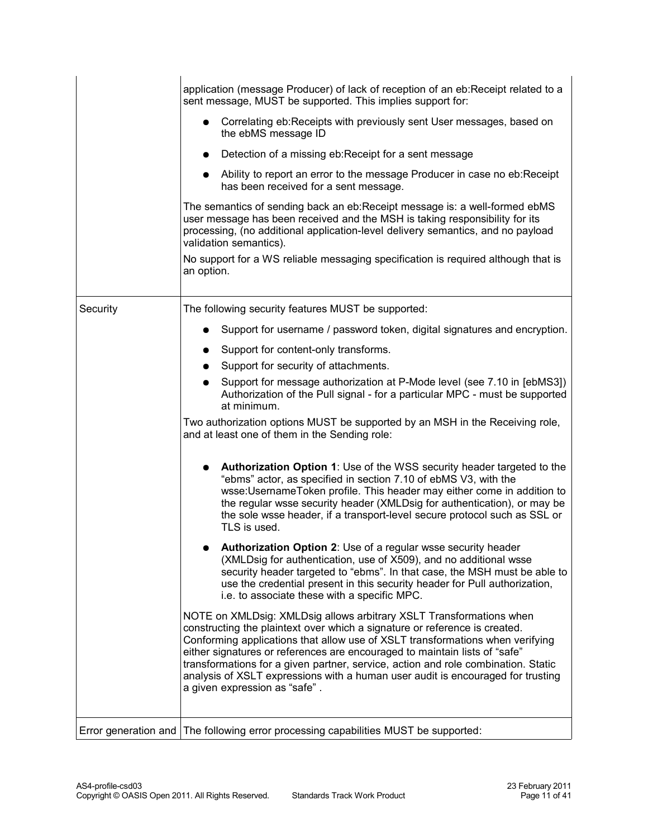|                      | application (message Producer) of lack of reception of an eb: Receipt related to a<br>sent message, MUST be supported. This implies support for:                                                                                                                                                                                                                                                                                                                                                                          |
|----------------------|---------------------------------------------------------------------------------------------------------------------------------------------------------------------------------------------------------------------------------------------------------------------------------------------------------------------------------------------------------------------------------------------------------------------------------------------------------------------------------------------------------------------------|
|                      | Correlating eb: Receipts with previously sent User messages, based on<br>the ebMS message ID                                                                                                                                                                                                                                                                                                                                                                                                                              |
|                      | Detection of a missing eb:Receipt for a sent message<br>$\bullet$                                                                                                                                                                                                                                                                                                                                                                                                                                                         |
|                      | • Ability to report an error to the message Producer in case no eb: Receipt<br>has been received for a sent message.                                                                                                                                                                                                                                                                                                                                                                                                      |
|                      | The semantics of sending back an eb: Receipt message is: a well-formed ebMS<br>user message has been received and the MSH is taking responsibility for its<br>processing, (no additional application-level delivery semantics, and no payload<br>validation semantics).                                                                                                                                                                                                                                                   |
|                      | No support for a WS reliable messaging specification is required although that is<br>an option.                                                                                                                                                                                                                                                                                                                                                                                                                           |
| Security             | The following security features MUST be supported:                                                                                                                                                                                                                                                                                                                                                                                                                                                                        |
|                      | Support for username / password token, digital signatures and encryption.                                                                                                                                                                                                                                                                                                                                                                                                                                                 |
|                      | Support for content-only transforms.                                                                                                                                                                                                                                                                                                                                                                                                                                                                                      |
|                      | Support for security of attachments.                                                                                                                                                                                                                                                                                                                                                                                                                                                                                      |
|                      | Support for message authorization at P-Mode level (see 7.10 in [ebMS3])<br>Authorization of the Pull signal - for a particular MPC - must be supported<br>at minimum.                                                                                                                                                                                                                                                                                                                                                     |
|                      | Two authorization options MUST be supported by an MSH in the Receiving role,<br>and at least one of them in the Sending role:                                                                                                                                                                                                                                                                                                                                                                                             |
|                      | Authorization Option 1: Use of the WSS security header targeted to the<br>"ebms" actor, as specified in section 7.10 of ebMS V3, with the<br>wsse:UsernameToken profile. This header may either come in addition to<br>the regular wsse security header (XMLDsig for authentication), or may be<br>the sole wsse header, if a transport-level secure protocol such as SSL or<br>TLS is used.                                                                                                                              |
|                      | Authorization Option 2: Use of a regular wsse security header<br>(XMLDsig for authentication, use of X509), and no additional wsse<br>security header targeted to "ebms". In that case, the MSH must be able to<br>use the credential present in this security header for Pull authorization,<br>i.e. to associate these with a specific MPC.                                                                                                                                                                             |
|                      | NOTE on XMLDsig: XMLDsig allows arbitrary XSLT Transformations when<br>constructing the plaintext over which a signature or reference is created.<br>Conforming applications that allow use of XSLT transformations when verifying<br>either signatures or references are encouraged to maintain lists of "safe"<br>transformations for a given partner, service, action and role combination. Static<br>analysis of XSLT expressions with a human user audit is encouraged for trusting<br>a given expression as "safe". |
| Error generation and | The following error processing capabilities MUST be supported:                                                                                                                                                                                                                                                                                                                                                                                                                                                            |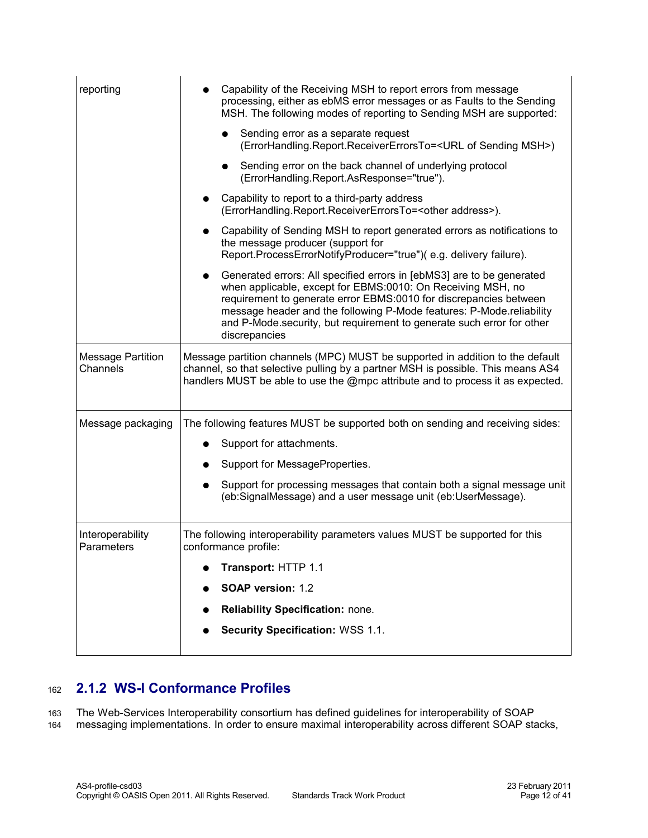| reporting                            | Capability of the Receiving MSH to report errors from message<br>processing, either as ebMS error messages or as Faults to the Sending<br>MSH. The following modes of reporting to Sending MSH are supported:                                                                                                                                                                 |
|--------------------------------------|-------------------------------------------------------------------------------------------------------------------------------------------------------------------------------------------------------------------------------------------------------------------------------------------------------------------------------------------------------------------------------|
|                                      | Sending error as a separate request<br>(ErrorHandling.Report.ReceiverErrorsTo= <url msh="" of="" sending="">)</url>                                                                                                                                                                                                                                                           |
|                                      | Sending error on the back channel of underlying protocol<br>(ErrorHandling.Report.AsResponse="true").                                                                                                                                                                                                                                                                         |
|                                      | Capability to report to a third-party address<br>(ErrorHandling.Report.ReceiverErrorsTo= <other address="">).</other>                                                                                                                                                                                                                                                         |
|                                      | Capability of Sending MSH to report generated errors as notifications to<br>the message producer (support for<br>Report.ProcessErrorNotifyProducer="true")(e.g. delivery failure).                                                                                                                                                                                            |
|                                      | • Generated errors: All specified errors in [ebMS3] are to be generated<br>when applicable, except for EBMS:0010: On Receiving MSH, no<br>requirement to generate error EBMS:0010 for discrepancies between<br>message header and the following P-Mode features: P-Mode.reliability<br>and P-Mode.security, but requirement to generate such error for other<br>discrepancies |
| <b>Message Partition</b><br>Channels | Message partition channels (MPC) MUST be supported in addition to the default<br>channel, so that selective pulling by a partner MSH is possible. This means AS4<br>handlers MUST be able to use the @mpc attribute and to process it as expected.                                                                                                                            |
| Message packaging                    | The following features MUST be supported both on sending and receiving sides:                                                                                                                                                                                                                                                                                                 |
|                                      | Support for attachments.                                                                                                                                                                                                                                                                                                                                                      |
|                                      | Support for MessageProperties.                                                                                                                                                                                                                                                                                                                                                |
|                                      | Support for processing messages that contain both a signal message unit<br>(eb:SignalMessage) and a user message unit (eb:UserMessage).                                                                                                                                                                                                                                       |
| Interoperability<br>Parameters       | The following interoperability parameters values MUST be supported for this<br>conformance profile:                                                                                                                                                                                                                                                                           |
|                                      | Transport: HTTP 1.1                                                                                                                                                                                                                                                                                                                                                           |
|                                      | SOAP version: 1.2                                                                                                                                                                                                                                                                                                                                                             |
|                                      | Reliability Specification: none.                                                                                                                                                                                                                                                                                                                                              |
|                                      | Security Specification: WSS 1.1.                                                                                                                                                                                                                                                                                                                                              |

#### <span id="page-11-0"></span>**2.1.2 WS-I Conformance Profiles** 162

The Web-Services Interoperability consortium has defined guidelines for interoperability of SOAP 163

messaging implementations. In order to ensure maximal interoperability across different SOAP stacks, 164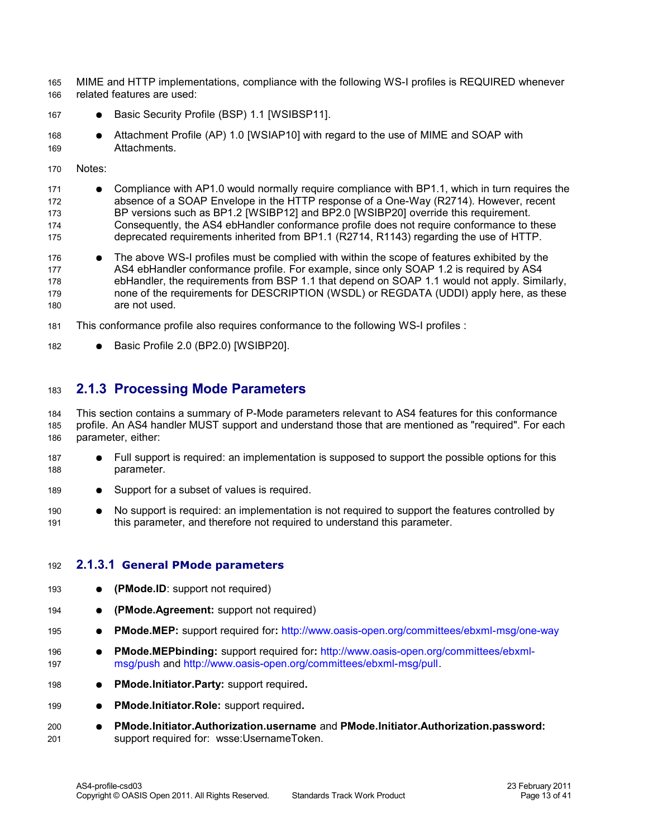MIME and HTTP implementations, compliance with the following WS-I profiles is REQUIRED whenever related features are used: 165 166

- Basic Security Profile (BSP) 1.1 [\[WSIBSP11\].](#page-7-9) 167
- Attachment Profile (AP) 1.0 [\[WSIAP10\]](#page-7-8) with regard to the use of MIME and SOAP with **Attachments** 168 169
- Notes: 170
- Compliance with AP1.0 would normally require compliance with BP1.1, which in turn requires the absence of a SOAP Envelope in the HTTP response of a One-Way (R2714). However, recent BP versions such as BP1.2 [\[WSIBP12\]](#page-8-5) and BP2.0 [\[WSIBP20\]](#page-7-7) override this requirement. Consequently, the AS4 ebHandler conformance profile does not require conformance to these deprecated requirements inherited from BP1.1 (R2714, R1143) regarding the use of HTTP. 171 172 173 174 175
- The above WS-I profiles must be complied with within the scope of features exhibited by the AS4 ebHandler conformance profile. For example, since only SOAP 1.2 is required by AS4 ebHandler, the requirements from BSP 1.1 that depend on SOAP 1.1 would not apply. Similarly, none of the requirements for DESCRIPTION (WSDL) or REGDATA (UDDI) apply here, as these are not used. 176 177 178 179 180
- This conformance profile also requires conformance to the following WS-I profiles : 181
- Basic Profile 2.0 (BP2.0) [\[WSIBP20\].](#page-7-7) 182

#### <span id="page-12-1"></span>**2.1.3 Processing Mode Parameters** 183

This section contains a summary of P-Mode parameters relevant to AS4 features for this conformance profile. An AS4 handler MUST support and understand those that are mentioned as "required". For each parameter, either: 184 185 186

- Full support is required: an implementation is supposed to support the possible options for this parameter. 187 188
- Support for a subset of values is required. 189
- No support is required: an implementation is not required to support the features controlled by this parameter, and therefore not required to understand this parameter. 190 191

#### <span id="page-12-0"></span>**2.1.3.1 General PMode parameters** 192

- **(PMode.ID**: support not required) 193
- **(PMode.Agreement:** support not required) 194
- **PMode.MEP:** support required for**:** http://www.oasis-open.org/committees/ebxml-msg/one-way 195
- **PMode.MEPbinding:** support required for**:** [http://www.oasis-open.org/committees/ebxml](http://www.oasis-open.org/committees/ebxml-msg/push)[msg/push](http://www.oasis-open.org/committees/ebxml-msg/push) and [http://www.oasis-open.org/committees/ebxml-msg/pull.](http://www.oasis-open.org/committees/ebxml-msg/pull) 196 197
- **PMode.Initiator.Party:** support required**.** 198
- **PMode.Initiator.Role:** support required**.**  199
- **PMode.Initiator.Authorization.username** and **PMode.Initiator.Authorization.password:** support required for: wsse:UsernameToken. 200 201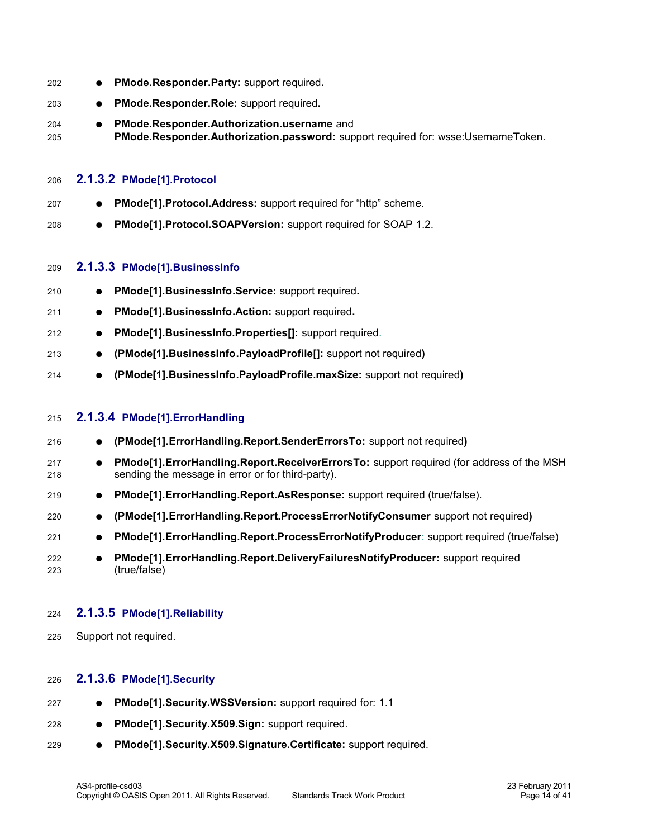<span id="page-13-4"></span><span id="page-13-3"></span>

| 202        | PMode.Responder.Party: support required.<br>$\bullet$                                                                                              |
|------------|----------------------------------------------------------------------------------------------------------------------------------------------------|
| 203        | PMode.Responder.Role: support required.                                                                                                            |
| 204<br>205 | PMode.Responder.Authorization.username and<br>PMode.Responder.Authorization.password: support required for: wsse:UsernameToken.                    |
| 206        | 2.1.3.2 PMode[1].Protocol                                                                                                                          |
| 207        | PMode[1].Protocol.Address: support required for "http" scheme.                                                                                     |
| 208        | PMode[1].Protocol.SOAPVersion: support required for SOAP 1.2.                                                                                      |
| 209        | 2.1.3.3 PMode[1].BusinessInfo                                                                                                                      |
| 210        | PMode[1].BusinessInfo.Service: support required.                                                                                                   |
| 211        | PMode[1].BusinessInfo.Action: support required.<br>$\bullet$                                                                                       |
| 212        | PMode[1].BusinessInfo.Properties[]: support required.                                                                                              |
| 213        | (PMode[1].BusinessInfo.PayloadProfile[]: support not required)                                                                                     |
| 214        | (PMode[1].BusinessInfo.PayloadProfile.maxSize: support not required)                                                                               |
| 215        | 2.1.3.4 PMode[1].ErrorHandling                                                                                                                     |
| 216        | (PMode[1]. Error Handling. Report. Sender Errors To: support not required)                                                                         |
| 217<br>218 | PMode[1]. ErrorHandling. Report. Receiver Errors To: support required (for address of the MSH<br>sending the message in error or for third-party). |
| 219        | PMode[1].ErrorHandling.Report.AsResponse: support required (true/false).<br>$\bullet$                                                              |
| 220        | (PMode[1].ErrorHandling.Report.ProcessErrorNotifyConsumer support not required)<br>$\bullet$                                                       |
| 221        | PMode[1].ErrorHandling.Report.ProcessErrorNotifyProducer: support required (true/false)                                                            |
| 222<br>223 | PMode[1]. ErrorHandling. Report. DeliveryFailuresNotifyProducer: support required<br>(true/false)                                                  |
| 224        | 2.1.3.5 PMode[1].Reliability                                                                                                                       |

<span id="page-13-2"></span><span id="page-13-1"></span>Support not required. 225

#### <span id="page-13-0"></span>**2.1.3.6 PMode[1].Security** 226

| 227 |  | PMode[1]. Security. WSSVersion: support required for: 1.1 |
|-----|--|-----------------------------------------------------------|
|-----|--|-----------------------------------------------------------|

- **PMode[1].Security.X509.Sign:** support required. 228
- **PMode[1].Security.X509.Signature.Certificate:** support required. 229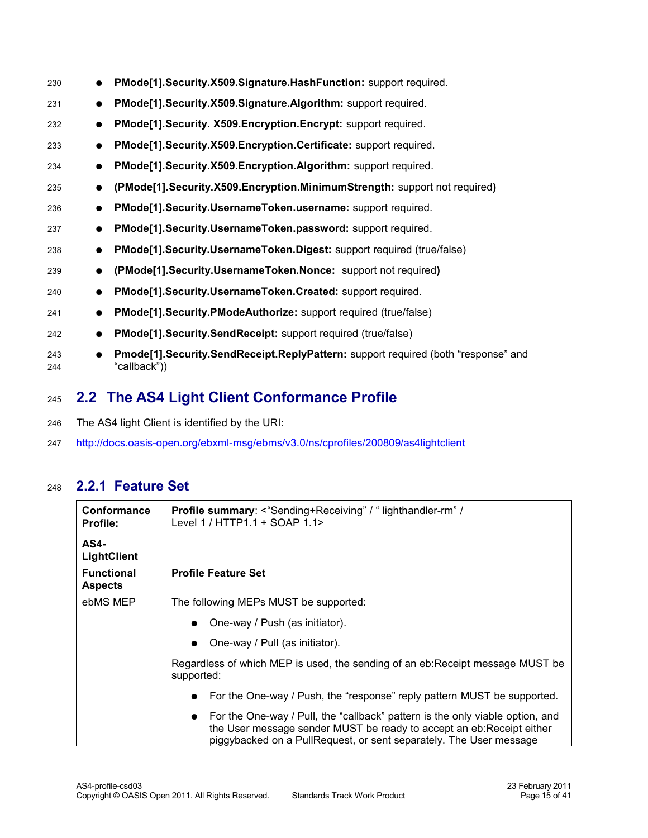| 230        | $\bullet$ | PMode[1]. Security. X509. Signature. Hash Function: support required.                             |
|------------|-----------|---------------------------------------------------------------------------------------------------|
| 231        | $\bullet$ | PMode[1]. Security. X509. Signature. Algorithm: support required.                                 |
| 232        | $\bullet$ | PMode[1]. Security. X509. Encryption. Encrypt: support required.                                  |
| 233        | $\bullet$ | PMode[1]. Security. X509. Encryption. Certificate: support required.                              |
| 234        | $\bullet$ | PMode[1].Security.X509.Encryption.Algorithm: support required.                                    |
| 235        | $\bullet$ | (PMode[1].Security.X509.Encryption.MinimumStrength: support not required)                         |
| 236        | $\bullet$ | PMode[1]. Security. Username Token. username: support required.                                   |
| 237        | $\bullet$ | PMode[1]. Security. Username Token. password: support required.                                   |
| 238        | $\bullet$ | PMode[1]. Security. Username Token. Digest: support required (true/false)                         |
| 239        | $\bullet$ | (PMode[1].Security.UsernameToken.Nonce: support not required)                                     |
| 240        | $\bullet$ | PMode[1].Security.UsernameToken.Created: support required.                                        |
| 241        | $\bullet$ | PMode[1]. Security. PModeAuthorize: support required (true/false)                                 |
| 242        | $\bullet$ | PMode[1]. Security. Send Receipt: support required (true/false)                                   |
| 243<br>244 | $\bullet$ | Pmode[1].Security.SendReceipt.ReplyPattern: support required (both "response" and<br>"callback")) |
|            |           |                                                                                                   |

#### <span id="page-14-1"></span>**2.2 The AS4 Light Client Conformance Profile** 245

- The AS4 light Client is identified by the URI: 246
- <http://docs.oasis-open.org/ebxml-msg/ebms/v3.0/ns/cprofiles/200809/as4lightclient> 247

#### **2.2.1 Feature Set** 248

<span id="page-14-0"></span>

| Conformance<br><b>Profile:</b>      | <b>Profile summary:</b> <"Sending+Receiving" / " lighthandler-rm" /<br>Level 1 / HTTP1.1 + SOAP 1.1>                                                                                                                           |
|-------------------------------------|--------------------------------------------------------------------------------------------------------------------------------------------------------------------------------------------------------------------------------|
| <b>AS4-</b><br><b>LightClient</b>   |                                                                                                                                                                                                                                |
| <b>Functional</b><br><b>Aspects</b> | <b>Profile Feature Set</b>                                                                                                                                                                                                     |
| ebMS MEP                            | The following MEPs MUST be supported:                                                                                                                                                                                          |
|                                     | • One-way / Push (as initiator).                                                                                                                                                                                               |
|                                     | $\bullet$ One-way / Pull (as initiator).                                                                                                                                                                                       |
|                                     | Regardless of which MEP is used, the sending of an eb: Receipt message MUST be<br>supported:                                                                                                                                   |
|                                     | • For the One-way / Push, the "response" reply pattern MUST be supported.                                                                                                                                                      |
|                                     | • For the One-way / Pull, the "callback" pattern is the only viable option, and<br>the User message sender MUST be ready to accept an eb: Receipt either<br>piggybacked on a PullRequest, or sent separately. The User message |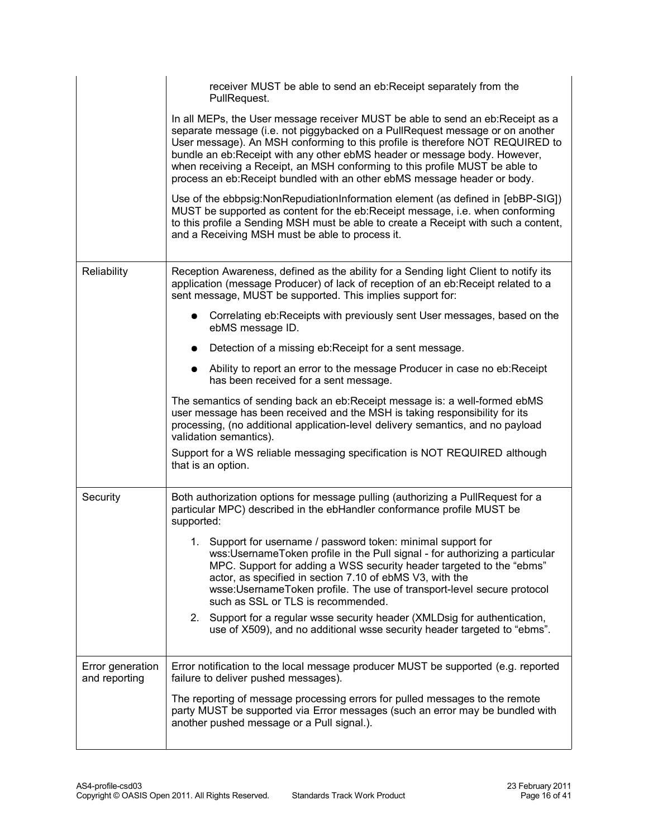|                                   | receiver MUST be able to send an eb: Receipt separately from the<br>PullRequest.                                                                                                                                                                                                                                                                                                                                                                                                          |
|-----------------------------------|-------------------------------------------------------------------------------------------------------------------------------------------------------------------------------------------------------------------------------------------------------------------------------------------------------------------------------------------------------------------------------------------------------------------------------------------------------------------------------------------|
|                                   | In all MEPs, the User message receiver MUST be able to send an eb:Receipt as a<br>separate message (i.e. not piggybacked on a PullRequest message or on another<br>User message). An MSH conforming to this profile is therefore NOT REQUIRED to<br>bundle an eb:Receipt with any other ebMS header or message body. However,<br>when receiving a Receipt, an MSH conforming to this profile MUST be able to<br>process an eb: Receipt bundled with an other ebMS message header or body. |
|                                   | Use of the ebbpsig: Non Repudiation Information element (as defined in [ebBP-SIG])<br>MUST be supported as content for the eb:Receipt message, i.e. when conforming<br>to this profile a Sending MSH must be able to create a Receipt with such a content,<br>and a Receiving MSH must be able to process it.                                                                                                                                                                             |
| Reliability                       | Reception Awareness, defined as the ability for a Sending light Client to notify its<br>application (message Producer) of lack of reception of an eb:Receipt related to a<br>sent message, MUST be supported. This implies support for:                                                                                                                                                                                                                                                   |
|                                   | Correlating eb: Receipts with previously sent User messages, based on the<br>ebMS message ID.                                                                                                                                                                                                                                                                                                                                                                                             |
|                                   | Detection of a missing eb: Receipt for a sent message.                                                                                                                                                                                                                                                                                                                                                                                                                                    |
|                                   | Ability to report an error to the message Producer in case no eb: Receipt<br>has been received for a sent message.                                                                                                                                                                                                                                                                                                                                                                        |
|                                   | The semantics of sending back an eb: Receipt message is: a well-formed ebMS<br>user message has been received and the MSH is taking responsibility for its<br>processing, (no additional application-level delivery semantics, and no payload<br>validation semantics).                                                                                                                                                                                                                   |
|                                   | Support for a WS reliable messaging specification is NOT REQUIRED although<br>that is an option.                                                                                                                                                                                                                                                                                                                                                                                          |
| Security                          | Both authorization options for message pulling (authorizing a PullRequest for a<br>particular MPC) described in the ebHandler conformance profile MUST be<br>supported:                                                                                                                                                                                                                                                                                                                   |
|                                   | 1. Support for username / password token: minimal support for<br>wss:UsernameToken profile in the Pull signal - for authorizing a particular<br>MPC. Support for adding a WSS security header targeted to the "ebms"<br>actor, as specified in section 7.10 of ebMS V3, with the<br>wsse:UsernameToken profile. The use of transport-level secure protocol<br>such as SSL or TLS is recommended.                                                                                          |
|                                   | 2. Support for a regular wsse security header (XMLDsig for authentication,<br>use of X509), and no additional wsse security header targeted to "ebms".                                                                                                                                                                                                                                                                                                                                    |
| Error generation<br>and reporting | Error notification to the local message producer MUST be supported (e.g. reported<br>failure to deliver pushed messages).                                                                                                                                                                                                                                                                                                                                                                 |
|                                   | The reporting of message processing errors for pulled messages to the remote<br>party MUST be supported via Error messages (such an error may be bundled with<br>another pushed message or a Pull signal.).                                                                                                                                                                                                                                                                               |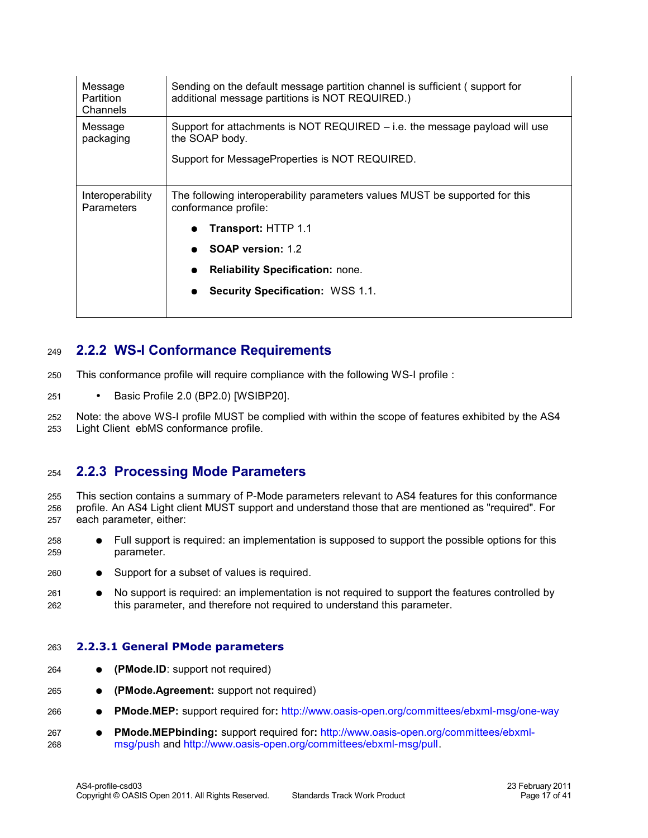| Message<br>Partition<br>Channels      | Sending on the default message partition channel is sufficient (support for<br>additional message partitions is NOT REQUIRED.)                    |
|---------------------------------------|---------------------------------------------------------------------------------------------------------------------------------------------------|
| Message<br>packaging                  | Support for attachments is NOT REQUIRED $-$ i.e. the message payload will use<br>the SOAP body.<br>Support for MessageProperties is NOT REQUIRED. |
|                                       |                                                                                                                                                   |
| Interoperability<br><b>Parameters</b> | The following interoperability parameters values MUST be supported for this<br>conformance profile:                                               |
|                                       | Transport: HTTP 1.1                                                                                                                               |
|                                       | <b>SOAP version: 1.2</b>                                                                                                                          |
|                                       | <b>Reliability Specification: none.</b>                                                                                                           |
|                                       | <b>Security Specification: WSS 1.1.</b>                                                                                                           |
|                                       |                                                                                                                                                   |

#### <span id="page-16-2"></span>**2.2.2 WS-I Conformance Requirements** 249

This conformance profile will require compliance with the following WS-I profile : 250

• Basic Profile 2.0 (BP2.0) [\[WSIBP20\].](#page-7-7) 251

Note: the above WS-I profile MUST be complied with within the scope of features exhibited by the AS4 Light Client ebMS conformance profile. 252 253

#### <span id="page-16-1"></span>**2.2.3 Processing Mode Parameters** 254

This section contains a summary of P-Mode parameters relevant to AS4 features for this conformance profile. An AS4 Light client MUST support and understand those that are mentioned as "required". For each parameter, either: 255 256 257

- Full support is required: an implementation is supposed to support the possible options for this parameter. 258 259
- Support for a subset of values is required. 260
- No support is required: an implementation is not required to support the features controlled by this parameter, and therefore not required to understand this parameter. 261 262

#### <span id="page-16-0"></span>**2.2.3.1 General PMode parameters** 263

- **(PMode.ID**: support not required) 264
- **(PMode.Agreement:** support not required) 265
- **PMode.MEP:** support required for**:** http://www.oasis-open.org/committees/ebxml-msg/one-way 266
- **PMode.MEPbinding:** support required for**:** [http://www.oasis-open.org/committees/ebxml](http://www.oasis-open.org/committees/ebxml-msg/push)[msg/push](http://www.oasis-open.org/committees/ebxml-msg/push) and [http://www.oasis-open.org/committees/ebxml-msg/pull.](http://www.oasis-open.org/committees/ebxml-msg/pull) 267 268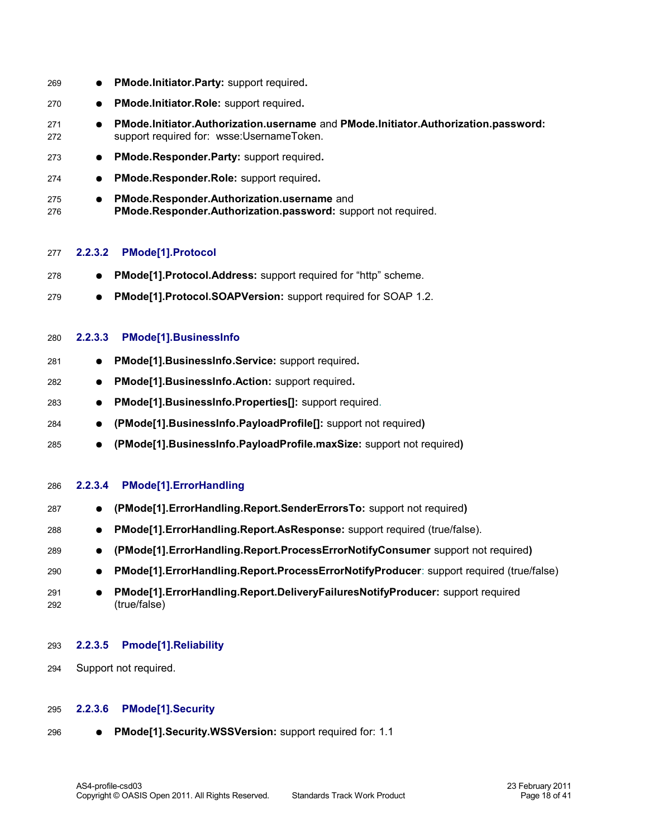<span id="page-17-4"></span><span id="page-17-3"></span>

| 269        | PMode.Initiator.Party: support required.                                                                                        |
|------------|---------------------------------------------------------------------------------------------------------------------------------|
| 270        | PMode.Initiator.Role: support required.<br>$\bullet$                                                                            |
| 271<br>272 | PMode.Initiator.Authorization.username and PMode.Initiator.Authorization.password:<br>support required for: wsse:UsernameToken. |
| 273        | PMode.Responder.Party: support required.<br>$\bullet$                                                                           |
| 274        | PMode.Responder.Role: support required.<br>$\bullet$                                                                            |
| 275<br>276 | PMode.Responder.Authorization.username and<br>$\bullet$<br>PMode.Responder.Authorization.password: support not required.        |
| 277        | <b>PMode[1].Protocol</b><br>2.2.3.2                                                                                             |
| 278        | PMode[1].Protocol.Address: support required for "http" scheme.                                                                  |
| 279        | PMode[1].Protocol.SOAPVersion: support required for SOAP 1.2.<br>$\bullet$                                                      |
| 280        | <b>PMode[1].BusinessInfo</b><br>2.2.3.3                                                                                         |
| 281        | PMode[1].BusinessInfo.Service: support required.<br>$\bullet$                                                                   |
| 282        | PMode[1].BusinessInfo.Action: support required.<br>$\bullet$                                                                    |
| 283        | PMode[1].BusinessInfo.Properties[]: support required.<br>$\bullet$                                                              |
| 284        | (PMode[1].BusinessInfo.PayloadProfile[]: support not required)<br>$\bullet$                                                     |
| 285        | (PMode[1].BusinessInfo.PayloadProfile.maxSize: support not required)                                                            |
| 286        | PMode[1].ErrorHandling<br>2.2.3.4                                                                                               |
| 287        | (PMode[1]. Error Handling. Report. Sender Errors To: support not required)                                                      |
| 288        | PMode[1]. ErrorHandling. Report. As Response: support required (true/false).<br>$\bullet$                                       |
| 289        | (PMode[1].ErrorHandling.Report.ProcessErrorNotifyConsumer support not required)                                                 |
| 290        | PMode[1].ErrorHandling.Report.ProcessErrorNotifyProducer: support required (true/false)                                         |
| 291<br>292 | PMode[1]. ErrorHandling. Report. DeliveryFailuresNotifyProducer: support required<br>(true/false)                               |
| 293        | <b>Pmode[1].Reliability</b><br>2.2.3.5                                                                                          |
| 294        | Support not required.                                                                                                           |

#### <span id="page-17-2"></span><span id="page-17-1"></span><span id="page-17-0"></span>**2.2.3.6 PMode[1].Security** 295

● **PMode[1].Security.WSSVersion:** support required for: 1.1 296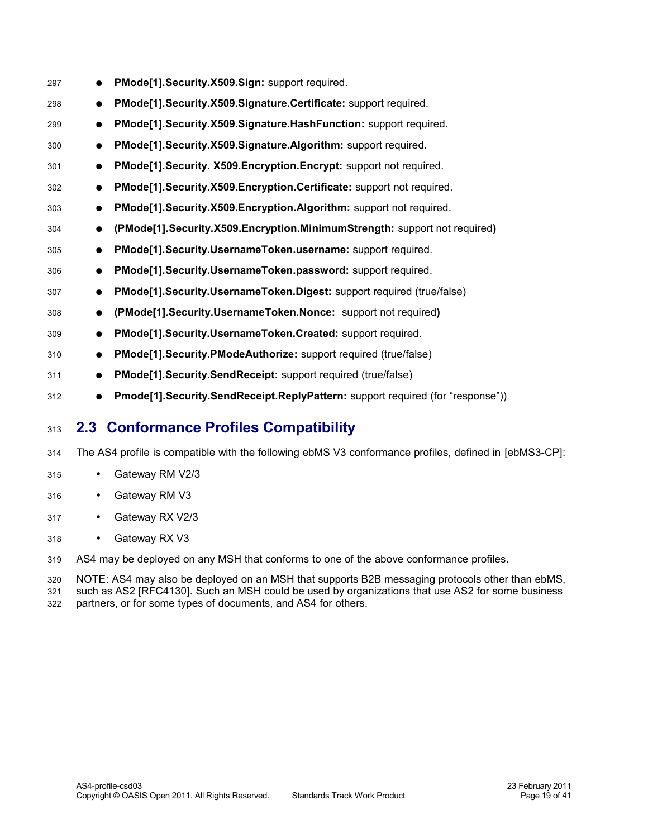| 297 | $\bullet$ | PMode[1].Security.X509.Sign: support required.                                      |
|-----|-----------|-------------------------------------------------------------------------------------|
| 298 | $\bullet$ | PMode[1]. Security. X509. Signature. Certificate: support required.                 |
| 299 | $\bullet$ | PMode[1]. Security. X509. Signature. Hash Function: support required.               |
| 300 | $\bullet$ | PMode[1]. Security. X509. Signature. Algorithm: support required.                   |
| 301 | $\bullet$ | PMode[1]. Security. X509. Encryption. Encrypt: support not required.                |
| 302 | $\bullet$ | PMode[1]. Security. X509. Encryption. Certificate: support not required.            |
| 303 | $\bullet$ | PMode[1]. Security. X509. Encryption. Algorithm: support not required.              |
| 304 | $\bullet$ | (PMode[1].Security.X509.Encryption.MinimumStrength: support not required)           |
| 305 | $\bullet$ | PMode[1]. Security. Username Token. username: support required.                     |
| 306 | $\bullet$ | PMode[1]. Security. Username Token. password: support required.                     |
| 307 | $\bullet$ | PMode[1].Security.UsernameToken.Digest: support required (true/false)               |
| 308 | $\bullet$ | (PMode[1]. Security. Username Token. Nonce: support not required)                   |
| 309 | $\bullet$ | PMode[1].Security.UsernameToken.Created: support required.                          |
| 310 | $\bullet$ | PMode[1]. Security. PModeAuthorize: support required (true/false)                   |
| 311 | $\bullet$ | <b>PMode[1]. Security. Send Receipt:</b> support required (true/false)              |
| 312 |           | Pmode[1]. Security. Send Receipt. Reply Pattern: support required (for "response")) |

#### <span id="page-18-0"></span>**2.3 Conformance Profiles Compatibility** 313

- The AS4 profile is compatible with the following ebMS V3 conformance profiles, defined in [\[ebMS3-CP\]:](#page-6-4) 314
- Gateway RM V2/3 315
- Gateway RM V3 316
- Gateway RX V2/3 317
- Gateway RX V3 318

AS4 may be deployed on any MSH that conforms to one of the above conformance profiles. 319

NOTE: AS4 may also be deployed on an MSH that supports B2B messaging protocols other than ebMS, such as AS2 [\[RFC4130\].](#page-7-5) Such an MSH could be used by organizations that use AS2 for some business 320 321

partners, or for some types of documents, and AS4 for others. 322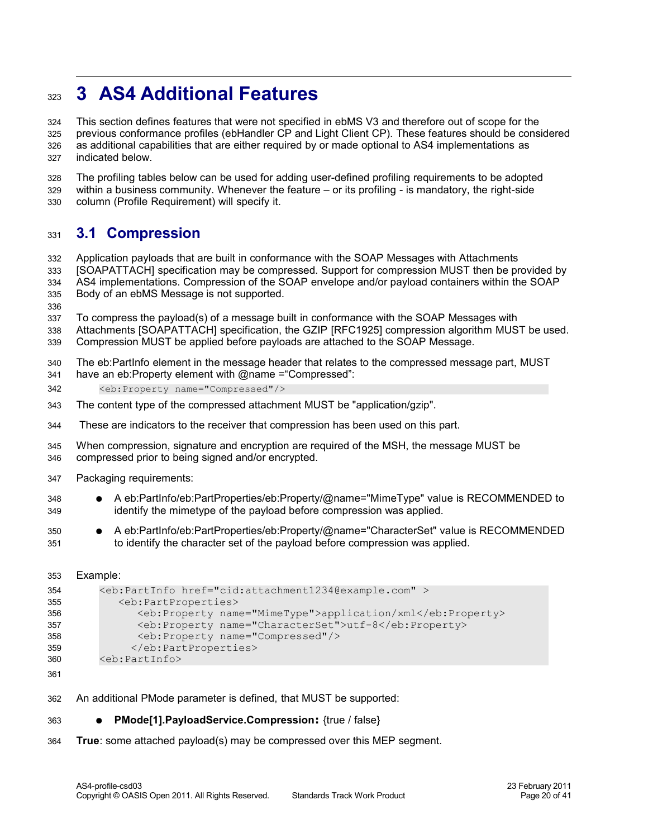### <span id="page-19-1"></span>**3 AS4 Additional Features** 323

This section defines features that were not specified in ebMS V3 and therefore out of scope for the previous conformance profiles (ebHandler CP and Light Client CP). These features should be considered as additional capabilities that are either required by or made optional to AS4 implementations as indicated below. 324 325 326 327

The profiling tables below can be used for adding user-defined profiling requirements to be adopted within a business community. Whenever the feature – or its profiling - is mandatory, the right-side column (Profile Requirement) will specify it. 328 329 330

#### <span id="page-19-0"></span>**3.1 Compression** 331

Application payloads that are built in conformance with the SOAP Messages with Attachments [\[SOAPATTACH\]](#page-7-2) specification may be compressed. Support for compression MUST then be provided by AS4 implementations. Compression of the SOAP envelope and/or payload containers within the SOAP Body of an ebMS Message is not supported. 332 333 334 335

336

To compress the payload(s) of a message built in conformance with the SOAP Messages with 337

Attachments [\[SOAPATTACH\]](#page-7-2) specification, the GZIP [\[RFC1925\]](#page-6-5) compression algorithm MUST be used. Compression MUST be applied before payloads are attached to the SOAP Message. 338 339

The eb:PartInfo element in the message header that relates to the compressed message part, MUST have an eb: Property element with @name = "Compressed": 340 341

- <eb:Property name="Compressed"/> 342
- The content type of the compressed attachment MUST be "application/gzip". 343
- These are indicators to the receiver that compression has been used on this part. 344
- When compression, signature and encryption are required of the MSH, the message MUST be compressed prior to being signed and/or encrypted. 345 346
- Packaging requirements: 347
- A eb:PartInfo/eb:PartProperties/eb:Property/@name="MimeType" value is RECOMMENDED to identify the mimetype of the payload before compression was applied. 348 349
- A eb:PartInfo/eb:PartProperties/eb:Property/@name="CharacterSet" value is RECOMMENDED to identify the character set of the payload before compression was applied. 350 351

```
Example:
353
```

```
<eb:PartInfo href="cid:attachment1234@example.com" >
           <eb:PartProperties>
              <eb:Property name="MimeType">application/xml</eb:Property>
               <eb:Property name="CharacterSet">utf-8</eb:Property>
                <eb:Property name="Compressed"/>
              </eb:PartProperties>
        <eb:PartInfo>
354
355
356
357
358
359
360
```
- An additional PMode parameter is defined, that MUST be supported: 362
- **PMode[1].PayloadService.Compression:** {true / false} 363
- **True**: some attached payload(s) may be compressed over this MEP segment. 364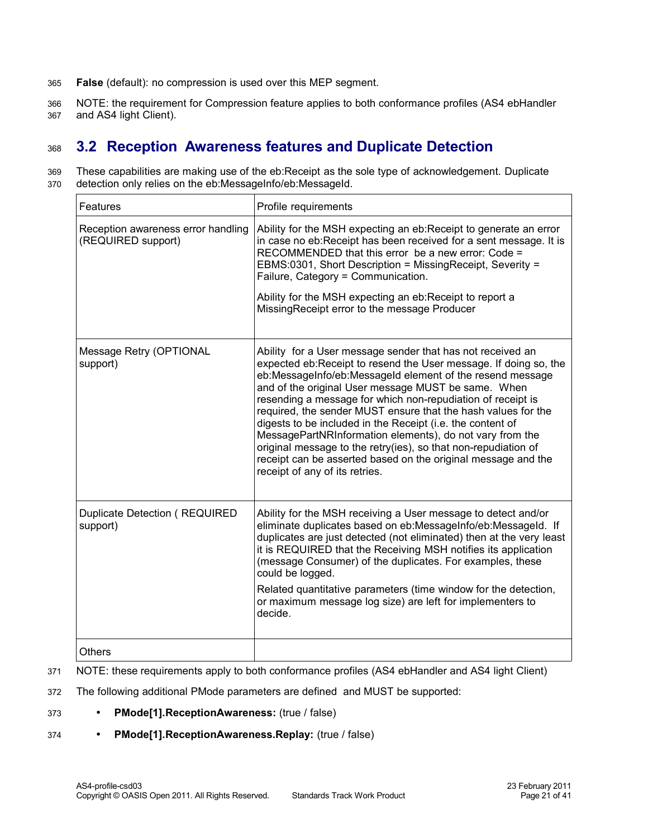- **False** (default): no compression is used over this MEP segment. 365
- NOTE: the requirement for Compression feature applies to both conformance profiles (AS4 ebHandler and AS4 light Client). 366 367

#### <span id="page-20-0"></span>**3.2 Reception Awareness features and Duplicate Detection** 368

These capabilities are making use of the eb:Receipt as the sole type of acknowledgement. Duplicate detection only relies on the eb:MessageInfo/eb:MessageId. 369 370

| Features                                                 | Profile requirements                                                                                                                                                                                                                                                                                                                                                                                                                                                                                                                                                                                                                                                              |
|----------------------------------------------------------|-----------------------------------------------------------------------------------------------------------------------------------------------------------------------------------------------------------------------------------------------------------------------------------------------------------------------------------------------------------------------------------------------------------------------------------------------------------------------------------------------------------------------------------------------------------------------------------------------------------------------------------------------------------------------------------|
| Reception awareness error handling<br>(REQUIRED support) | Ability for the MSH expecting an eb: Receipt to generate an error<br>in case no eb: Receipt has been received for a sent message. It is<br>RECOMMENDED that this error be a new error: Code =<br>EBMS:0301, Short Description = MissingReceipt, Severity =<br>Failure, Category = Communication.<br>Ability for the MSH expecting an eb:Receipt to report a<br>MissingReceipt error to the message Producer                                                                                                                                                                                                                                                                       |
| Message Retry (OPTIONAL<br>support)                      | Ability for a User message sender that has not received an<br>expected eb:Receipt to resend the User message. If doing so, the<br>eb:MessageInfo/eb:MessageId element of the resend message<br>and of the original User message MUST be same. When<br>resending a message for which non-repudiation of receipt is<br>required, the sender MUST ensure that the hash values for the<br>digests to be included in the Receipt (i.e. the content of<br>MessagePartNRInformation elements), do not vary from the<br>original message to the retry(ies), so that non-repudiation of<br>receipt can be asserted based on the original message and the<br>receipt of any of its retries. |
| Duplicate Detection (REQUIRED<br>support)                | Ability for the MSH receiving a User message to detect and/or<br>eliminate duplicates based on eb:MessageInfo/eb:MessageId. If<br>duplicates are just detected (not eliminated) then at the very least<br>it is REQUIRED that the Receiving MSH notifies its application<br>(message Consumer) of the duplicates. For examples, these<br>could be logged.<br>Related quantitative parameters (time window for the detection,<br>or maximum message log size) are left for implementers to<br>decide.                                                                                                                                                                              |
| <b>Others</b>                                            |                                                                                                                                                                                                                                                                                                                                                                                                                                                                                                                                                                                                                                                                                   |

- NOTE: these requirements apply to both conformance profiles (AS4 ebHandler and AS4 light Client) 371
- The following additional PMode parameters are defined and MUST be supported: 372
- **PMode[1].ReceptionAwareness:** (true / false) 373
- **PMode[1].ReceptionAwareness.Replay:** (true / false) 374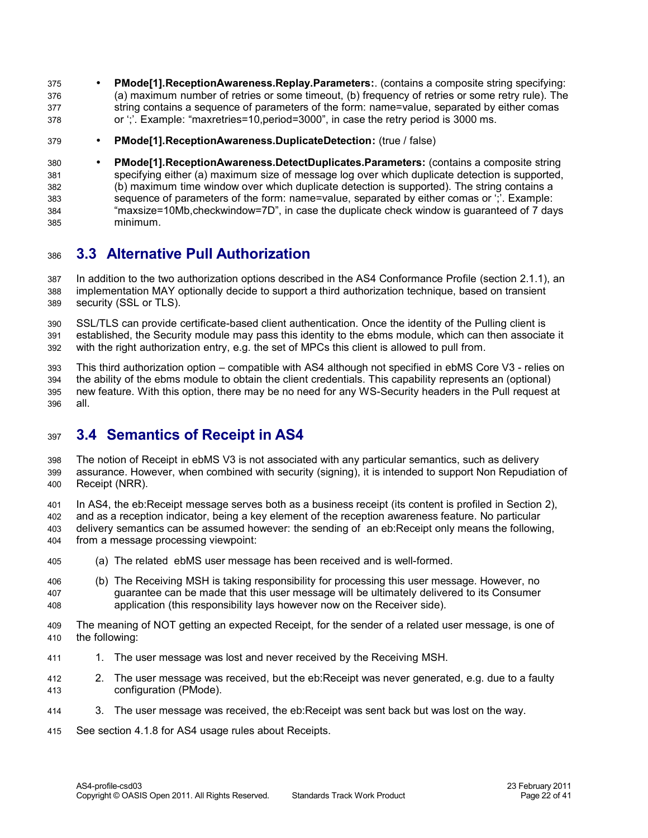- **PMode[1].ReceptionAwareness.Replay.Parameters:**. (contains a composite string specifying: (a) maximum number of retries or some timeout, (b) frequency of retries or some retry rule). The string contains a sequence of parameters of the form: name=value, separated by either comas or ';'. Example: "maxretries=10,period=3000", in case the retry period is 3000 ms. 375 376 377 378
- **PMode[1].ReceptionAwareness.DuplicateDetection:** (true / false) 379
- **PMode[1].ReceptionAwareness.DetectDuplicates.Parameters:** (contains a composite string specifying either (a) maximum size of message log over which duplicate detection is supported, (b) maximum time window over which duplicate detection is supported). The string contains a sequence of parameters of the form: name=value, separated by either comas or ';'. Example: "maxsize=10Mb,checkwindow=7D", in case the duplicate check window is guaranteed of 7 days minimum. 380 381 382 383 384 385

#### <span id="page-21-1"></span>**3.3 Alternative Pull Authorization** 386

In addition to the two authorization options described in the AS4 Conformance Profile (section 2.1.1), an implementation MAY optionally decide to support a third authorization technique, based on transient security (SSL or TLS). 387 388 389

SSL/TLS can provide certificate-based client authentication. Once the identity of the Pulling client is established, the Security module may pass this identity to the ebms module, which can then associate it with the right authorization entry, e.g. the set of MPCs this client is allowed to pull from. 390 391 392

This third authorization option – compatible with AS4 although not specified in ebMS Core V3 - relies on the ability of the ebms module to obtain the client credentials. This capability represents an (optional) new feature. With this option, there may be no need for any WS-Security headers in the Pull request at all. 393 394 395 396

#### <span id="page-21-0"></span>**3.4 Semantics of Receipt in AS4** 307

The notion of Receipt in ebMS V3 is not associated with any particular semantics, such as delivery assurance. However, when combined with security (signing), it is intended to support Non Repudiation of Receipt (NRR). 398 399 400

In AS4, the eb:Receipt message serves both as a business receipt (its content is profiled in Section 2), and as a reception indicator, being a key element of the reception awareness feature. No particular delivery semantics can be assumed however: the sending of an eb:Receipt only means the following, from a message processing viewpoint: 401 402 403  $404$ 

- (a) The related ebMS user message has been received and is well-formed. 405
- (b) The Receiving MSH is taking responsibility for processing this user message. However, no guarantee can be made that this user message will be ultimately delivered to its Consumer application (this responsibility lays however now on the Receiver side). 406 407 408
- The meaning of NOT getting an expected Receipt, for the sender of a related user message, is one of the following: 409 410
- 1. The user message was lost and never received by the Receiving MSH. 411
- 2. The user message was received, but the eb:Receipt was never generated, e.g. due to a faulty configuration (PMode). 412 413
- 3. The user message was received, the eb:Receipt was sent back but was lost on the way. 414
- See section [4.1.8 f](#page-25-0)or AS4 usage rules about Receipts. 415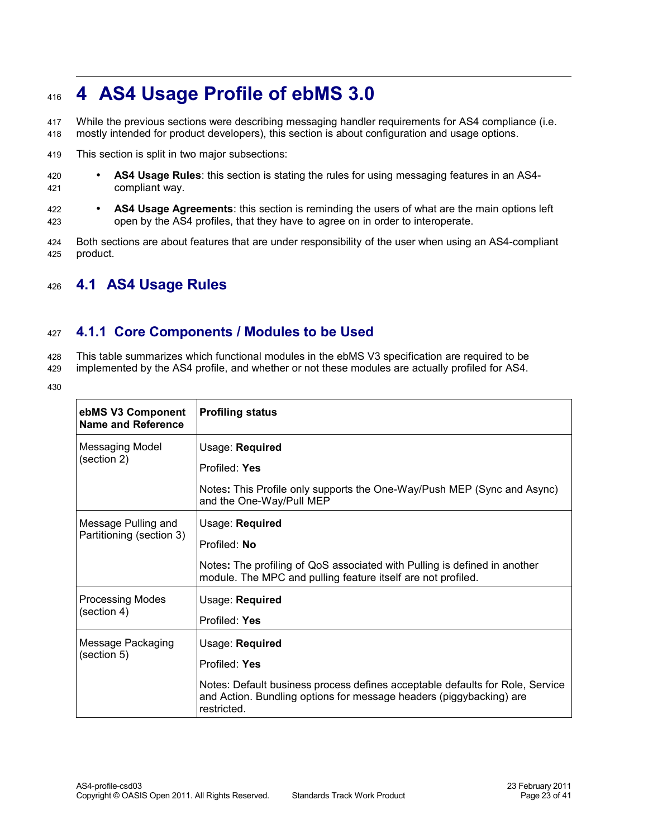## <span id="page-22-2"></span>**4 AS4 Usage Profile of ebMS 3.0** 416

While the previous sections were describing messaging handler requirements for AS4 compliance (i.e. mostly intended for product developers), this section is about configuration and usage options. 417 418

- This section is split in two major subsections: 419
- **AS4 Usage Rules**: this section is stating the rules for using messaging features in an AS4 compliant way. 420 421
- **AS4 Usage Agreements**: this section is reminding the users of what are the main options left open by the AS4 profiles, that they have to agree on in order to interoperate. 422 423
- Both sections are about features that are under responsibility of the user when using an AS4-compliant product. 424 425

#### <span id="page-22-1"></span>**4.1 AS4 Usage Rules** 426

#### <span id="page-22-0"></span>**4.1.1 Core Components / Modules to be Used** 427

This table summarizes which functional modules in the ebMS V3 specification are required to be 428

- implemented by the AS4 profile, and whether or not these modules are actually profiled for AS4. 429
- 430

| ebMS V3 Component<br>Name and Reference | <b>Profiling status</b>                                                                                                                                             |
|-----------------------------------------|---------------------------------------------------------------------------------------------------------------------------------------------------------------------|
| <b>Messaging Model</b>                  | Usage: Required                                                                                                                                                     |
| (section 2)                             | Profiled: Yes                                                                                                                                                       |
|                                         | Notes: This Profile only supports the One-Way/Push MEP (Sync and Async)<br>and the One-Way/Pull MEP                                                                 |
| Message Pulling and                     | Usage: Required                                                                                                                                                     |
| Partitioning (section 3)                | Profiled: No                                                                                                                                                        |
|                                         | Notes: The profiling of QoS associated with Pulling is defined in another<br>module. The MPC and pulling feature itself are not profiled.                           |
| <b>Processing Modes</b>                 | Usage: Required                                                                                                                                                     |
| (section 4)                             | Profiled: Yes                                                                                                                                                       |
| Message Packaging                       | Usage: Required                                                                                                                                                     |
| (section 5)                             | Profiled: Yes                                                                                                                                                       |
|                                         | Notes: Default business process defines acceptable defaults for Role, Service<br>and Action. Bundling options for message headers (piggybacking) are<br>restricted. |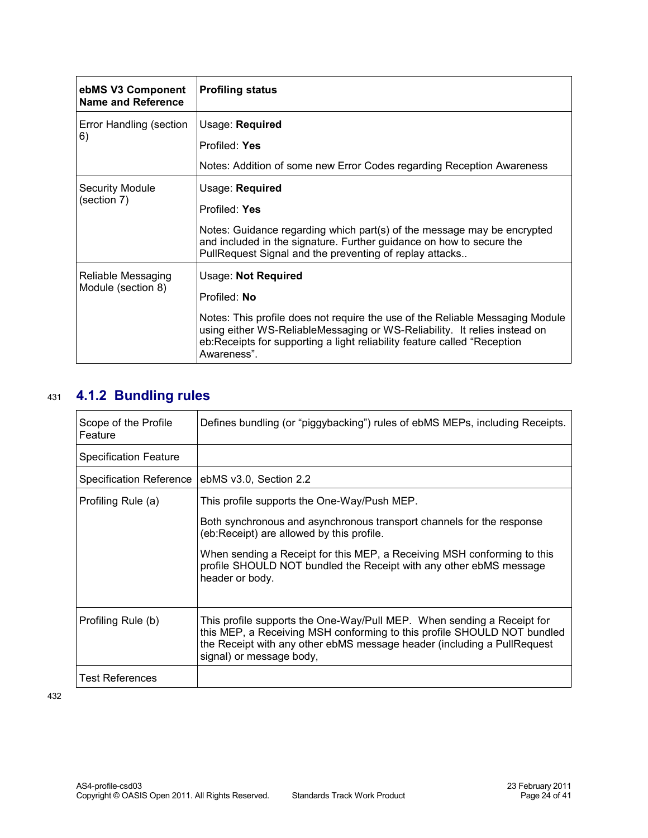| ebMS V3 Component<br>Name and Reference  | <b>Profiling status</b>                                                                                                                                                                                                                                                                      |
|------------------------------------------|----------------------------------------------------------------------------------------------------------------------------------------------------------------------------------------------------------------------------------------------------------------------------------------------|
| Error Handling (section<br>6)            | Usage: Required<br>Profiled: Yes<br>Notes: Addition of some new Error Codes regarding Reception Awareness                                                                                                                                                                                    |
| <b>Security Module</b><br>(section 7)    | Usage: Required<br>Profiled: Yes<br>Notes: Guidance regarding which part(s) of the message may be encrypted<br>and included in the signature. Further guidance on how to secure the<br>PullRequest Signal and the preventing of replay attacks                                               |
| Reliable Messaging<br>Module (section 8) | Usage: Not Required<br>Profiled: No<br>Notes: This profile does not require the use of the Reliable Messaging Module<br>using either WS-ReliableMessaging or WS-Reliability. It relies instead on<br>eb:Receipts for supporting a light reliability feature called "Reception<br>Awareness". |

## **4.1.2 Bundling rules** 431

<span id="page-23-0"></span>

| Scope of the Profile<br>Feature | Defines bundling (or "piggybacking") rules of ebMS MEPs, including Receipts.                                                                                                                                                                             |
|---------------------------------|----------------------------------------------------------------------------------------------------------------------------------------------------------------------------------------------------------------------------------------------------------|
| <b>Specification Feature</b>    |                                                                                                                                                                                                                                                          |
| Specification Reference         | ebMS v3.0, Section 2.2                                                                                                                                                                                                                                   |
| Profiling Rule (a)              | This profile supports the One-Way/Push MEP.                                                                                                                                                                                                              |
|                                 | Both synchronous and asynchronous transport channels for the response<br>(eb:Receipt) are allowed by this profile.                                                                                                                                       |
|                                 | When sending a Receipt for this MEP, a Receiving MSH conforming to this<br>profile SHOULD NOT bundled the Receipt with any other ebMS message<br>header or body.                                                                                         |
| Profiling Rule (b)              | This profile supports the One-Way/Pull MEP. When sending a Receipt for<br>this MEP, a Receiving MSH conforming to this profile SHOULD NOT bundled<br>the Receipt with any other ebMS message header (including a PullRequest<br>signal) or message body, |
| Test References                 |                                                                                                                                                                                                                                                          |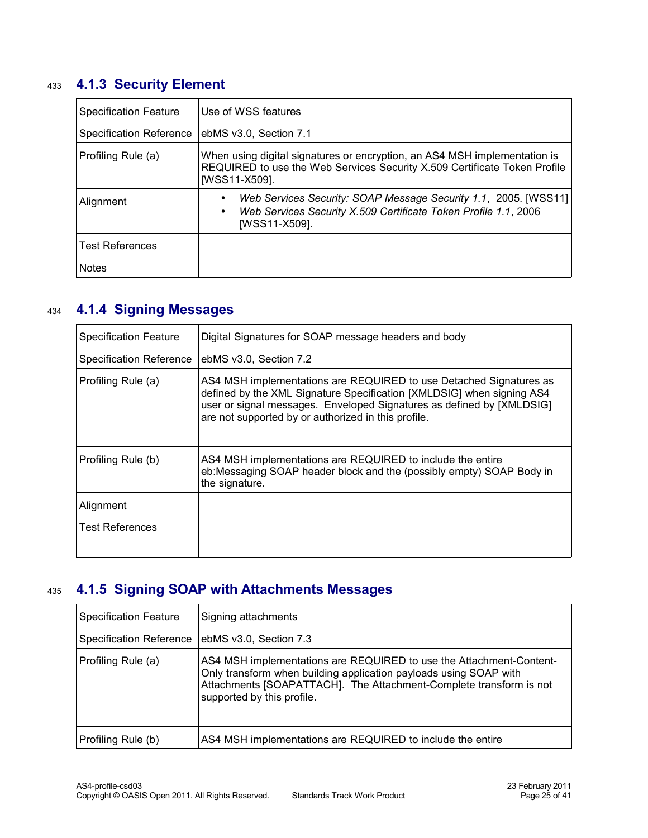## **4.1.3 Security Element** 433

<span id="page-24-2"></span>

| <b>Specification Feature</b>   | Use of WSS features                                                                                                                                                     |
|--------------------------------|-------------------------------------------------------------------------------------------------------------------------------------------------------------------------|
| <b>Specification Reference</b> | ebMS v3.0, Section 7.1                                                                                                                                                  |
| Profiling Rule (a)             | When using digital signatures or encryption, an AS4 MSH implementation is<br>REQUIRED to use the Web Services Security X.509 Certificate Token Profile<br>[WSS11-X509]. |
| Alignment                      | Web Services Security: SOAP Message Security 1.1, 2005. [WSS11]<br>Web Services Security X.509 Certificate Token Profile 1.1, 2006<br>$\bullet$<br>[WSS11-X509].        |
| <b>Test References</b>         |                                                                                                                                                                         |
| <b>Notes</b>                   |                                                                                                                                                                         |

## **4.1.4 Signing Messages** 434

<span id="page-24-1"></span>

| <b>Specification Feature</b>   | Digital Signatures for SOAP message headers and body                                                                                                                                                                                                                        |
|--------------------------------|-----------------------------------------------------------------------------------------------------------------------------------------------------------------------------------------------------------------------------------------------------------------------------|
| <b>Specification Reference</b> | ebMS v3.0, Section 7.2                                                                                                                                                                                                                                                      |
| Profiling Rule (a)             | AS4 MSH implementations are REQUIRED to use Detached Signatures as<br>defined by the XML Signature Specification [XMLDSIG] when signing AS4<br>user or signal messages. Enveloped Signatures as defined by [XMLDSIG]<br>are not supported by or authorized in this profile. |
| Profiling Rule (b)             | AS4 MSH implementations are REQUIRED to include the entire<br>eb:Messaging SOAP header block and the (possibly empty) SOAP Body in<br>the signature.                                                                                                                        |
| Alignment                      |                                                                                                                                                                                                                                                                             |
| <b>Test References</b>         |                                                                                                                                                                                                                                                                             |

#### **4.1.5 Signing SOAP with Attachments Messages** 435

<span id="page-24-0"></span>

| <b>Specification Feature</b> | Signing attachments                                                                                                                                                                                                                          |
|------------------------------|----------------------------------------------------------------------------------------------------------------------------------------------------------------------------------------------------------------------------------------------|
| Specification Reference      | ebMS v3.0, Section 7.3                                                                                                                                                                                                                       |
| Profiling Rule (a)           | AS4 MSH implementations are REQUIRED to use the Attachment-Content-<br>Only transform when building application payloads using SOAP with<br>Attachments [SOAPATTACH]. The Attachment-Complete transform is not<br>supported by this profile. |
| Profiling Rule (b)           | AS4 MSH implementations are REQUIRED to include the entire                                                                                                                                                                                   |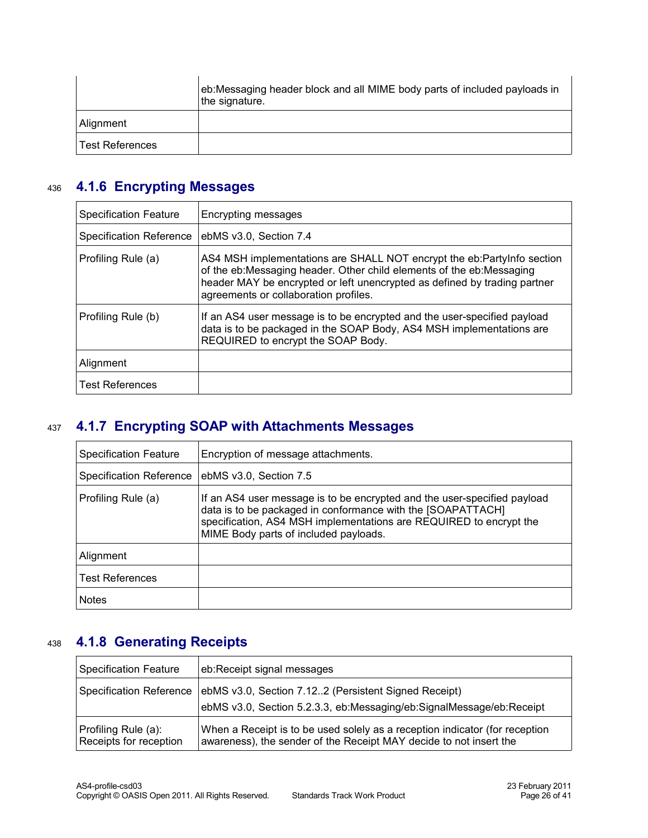|                 | eb:Messaging header block and all MIME body parts of included payloads in<br>the signature. |
|-----------------|---------------------------------------------------------------------------------------------|
| Alignment       |                                                                                             |
| Test References |                                                                                             |

#### **4.1.6 Encrypting Messages** 436

<span id="page-25-2"></span>

| <b>Specification Feature</b>   | Encrypting messages                                                                                                                                                                                                                                                  |
|--------------------------------|----------------------------------------------------------------------------------------------------------------------------------------------------------------------------------------------------------------------------------------------------------------------|
| <b>Specification Reference</b> | ebMS v3.0, Section 7.4                                                                                                                                                                                                                                               |
| Profiling Rule (a)             | AS4 MSH implementations are SHALL NOT encrypt the eb:PartyInfo section<br>of the eb:Messaging header. Other child elements of the eb:Messaging<br>header MAY be encrypted or left unencrypted as defined by trading partner<br>agreements or collaboration profiles. |
| Profiling Rule (b)             | If an AS4 user message is to be encrypted and the user-specified payload<br>data is to be packaged in the SOAP Body, AS4 MSH implementations are<br>REQUIRED to encrypt the SOAP Body.                                                                               |
| Alignment                      |                                                                                                                                                                                                                                                                      |
| <b>Test References</b>         |                                                                                                                                                                                                                                                                      |

#### **4.1.7 Encrypting SOAP with Attachments Messages** 437

<span id="page-25-1"></span>

| <b>Specification Feature</b> | Encryption of message attachments.                                                                                                                                                                                                                     |
|------------------------------|--------------------------------------------------------------------------------------------------------------------------------------------------------------------------------------------------------------------------------------------------------|
| Specification Reference      | ebMS v3.0, Section 7.5                                                                                                                                                                                                                                 |
| Profiling Rule (a)           | If an AS4 user message is to be encrypted and the user-specified payload<br>data is to be packaged in conformance with the [SOAPATTACH]<br>specification, AS4 MSH implementations are REQUIRED to encrypt the<br>MIME Body parts of included payloads. |
| Alignment                    |                                                                                                                                                                                                                                                        |
| <b>Test References</b>       |                                                                                                                                                                                                                                                        |
| <b>Notes</b>                 |                                                                                                                                                                                                                                                        |

## **4.1.8 Generating Receipts** 438

<span id="page-25-0"></span>

| <b>Specification Feature</b>                  | eb:Receipt signal messages                                                                                                                        |
|-----------------------------------------------|---------------------------------------------------------------------------------------------------------------------------------------------------|
| Specification Reference                       | ebMS v3.0, Section 7.122 (Persistent Signed Receipt)                                                                                              |
|                                               | ebMS v3.0, Section 5.2.3.3, eb:Messaging/eb:SignalMessage/eb:Receipt                                                                              |
| Profiling Rule (a):<br>Receipts for reception | When a Receipt is to be used solely as a reception indicator (for reception<br>awareness), the sender of the Receipt MAY decide to not insert the |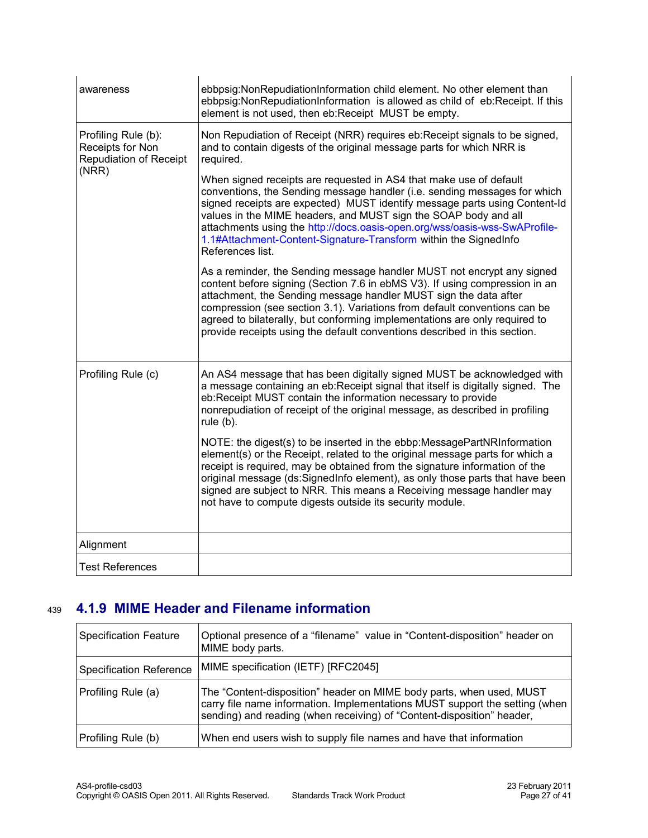| awareness                                                                         | ebbpsig: Non Repudiation Information child element. No other element than<br>ebbpsig: Non Repudiation Information is allowed as child of eb: Receipt. If this<br>element is not used, then eb:Receipt MUST be empty.                                                                                                                                                                                                                                                   |
|-----------------------------------------------------------------------------------|------------------------------------------------------------------------------------------------------------------------------------------------------------------------------------------------------------------------------------------------------------------------------------------------------------------------------------------------------------------------------------------------------------------------------------------------------------------------|
| Profiling Rule (b):<br>Receipts for Non<br><b>Repudiation of Receipt</b><br>(NRR) | Non Repudiation of Receipt (NRR) requires eb: Receipt signals to be signed,<br>and to contain digests of the original message parts for which NRR is<br>required.                                                                                                                                                                                                                                                                                                      |
|                                                                                   | When signed receipts are requested in AS4 that make use of default<br>conventions, the Sending message handler (i.e. sending messages for which<br>signed receipts are expected) MUST identify message parts using Content-Id<br>values in the MIME headers, and MUST sign the SOAP body and all<br>attachments using the http://docs.oasis-open.org/wss/oasis-wss-SwAProfile-<br>1.1#Attachment-Content-Signature-Transform within the SignedInfo<br>References list. |
|                                                                                   | As a reminder, the Sending message handler MUST not encrypt any signed<br>content before signing (Section 7.6 in ebMS V3). If using compression in an<br>attachment, the Sending message handler MUST sign the data after<br>compression (see section 3.1). Variations from default conventions can be<br>agreed to bilaterally, but conforming implementations are only required to<br>provide receipts using the default conventions described in this section.      |
| Profiling Rule (c)                                                                | An AS4 message that has been digitally signed MUST be acknowledged with<br>a message containing an eb:Receipt signal that itself is digitally signed. The<br>eb:Receipt MUST contain the information necessary to provide<br>nonrepudiation of receipt of the original message, as described in profiling<br>rule $(b)$ .                                                                                                                                              |
|                                                                                   | NOTE: the digest(s) to be inserted in the ebbp: Message PartNRInformation<br>element(s) or the Receipt, related to the original message parts for which a<br>receipt is required, may be obtained from the signature information of the<br>original message (ds:SignedInfo element), as only those parts that have been<br>signed are subject to NRR. This means a Receiving message handler may<br>not have to compute digests outside its security module.           |
| Alignment                                                                         |                                                                                                                                                                                                                                                                                                                                                                                                                                                                        |
| <b>Test References</b>                                                            |                                                                                                                                                                                                                                                                                                                                                                                                                                                                        |

#### **4.1.9 MIME Header and Filename information** 439

<span id="page-26-0"></span>

| <b>Specification Feature</b>   | Optional presence of a "filename" value in "Content-disposition" header on<br>MIME body parts.                                                                                                                                |
|--------------------------------|-------------------------------------------------------------------------------------------------------------------------------------------------------------------------------------------------------------------------------|
| <b>Specification Reference</b> | MIME specification (IETF) [RFC2045]                                                                                                                                                                                           |
| Profiling Rule (a)             | The "Content-disposition" header on MIME body parts, when used, MUST<br>carry file name information. Implementations MUST support the setting (when<br>sending) and reading (when receiving) of "Content-disposition" header, |
| Profiling Rule (b)             | When end users wish to supply file names and have that information                                                                                                                                                            |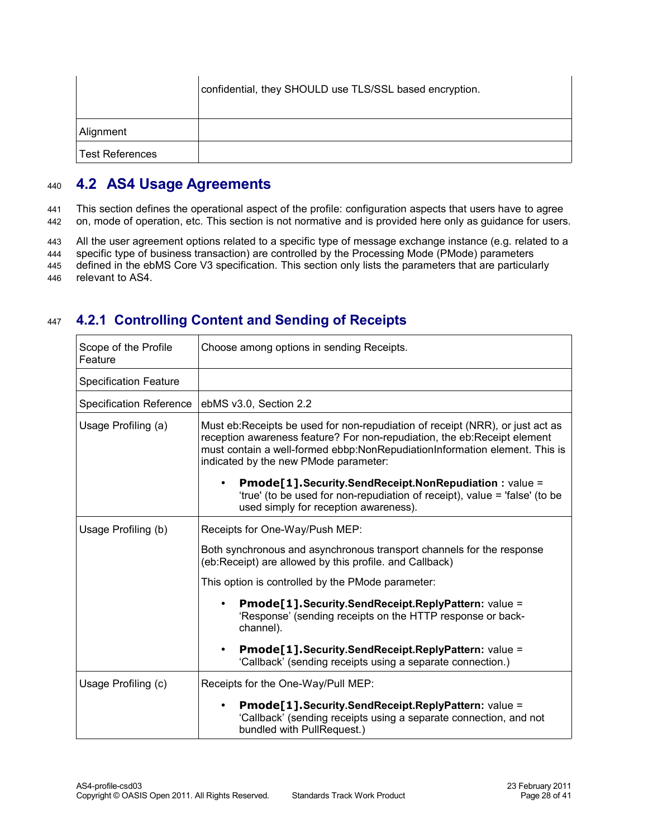|                        | confidential, they SHOULD use TLS/SSL based encryption. |
|------------------------|---------------------------------------------------------|
| Alignment              |                                                         |
| <b>Test References</b> |                                                         |

#### <span id="page-27-1"></span>**4.2 AS4 Usage Agreements** 440

This section defines the operational aspect of the profile: configuration aspects that users have to agree on, mode of operation, etc. This section is not normative and is provided here only as guidance for users. 441 442

All the user agreement options related to a specific type of message exchange instance (e.g. related to a 443

specific type of business transaction) are controlled by the Processing Mode (PMode) parameters defined in the ebMS Core V3 specification. This section only lists the parameters that are particularly 444 445

relevant to AS4. 446

#### **4.2.1 Controlling Content and Sending of Receipts** 447

<span id="page-27-0"></span>

| Scope of the Profile<br>Feature | Choose among options in sending Receipts.                                                                                                                                                                                                                                        |
|---------------------------------|----------------------------------------------------------------------------------------------------------------------------------------------------------------------------------------------------------------------------------------------------------------------------------|
| <b>Specification Feature</b>    |                                                                                                                                                                                                                                                                                  |
| <b>Specification Reference</b>  | ebMS v3.0, Section 2.2                                                                                                                                                                                                                                                           |
| Usage Profiling (a)             | Must eb:Receipts be used for non-repudiation of receipt (NRR), or just act as<br>reception awareness feature? For non-repudiation, the eb:Receipt element<br>must contain a well-formed ebbp:NonRepudiationInformation element. This is<br>indicated by the new PMode parameter: |
|                                 | Pmode[1].Security.SendReceipt.NonRepudiation: value =<br>$\bullet$<br>'true' (to be used for non-repudiation of receipt), value = 'false' (to be<br>used simply for reception awareness).                                                                                        |
| Usage Profiling (b)             | Receipts for One-Way/Push MEP:                                                                                                                                                                                                                                                   |
|                                 | Both synchronous and asynchronous transport channels for the response<br>(eb:Receipt) are allowed by this profile. and Callback)                                                                                                                                                 |
|                                 | This option is controlled by the PMode parameter:                                                                                                                                                                                                                                |
|                                 | Pmode[1].Security.SendReceipt.ReplyPattern: value =<br>'Response' (sending receipts on the HTTP response or back-<br>channel).                                                                                                                                                   |
|                                 | Pmode[1].Security.SendReceipt.ReplyPattern: value =<br>$\bullet$<br>'Callback' (sending receipts using a separate connection.)                                                                                                                                                   |
| Usage Profiling (c)             | Receipts for the One-Way/Pull MEP:                                                                                                                                                                                                                                               |
|                                 | Pmode[1].Security.SendReceipt.ReplyPattern: value =<br>'Callback' (sending receipts using a separate connection, and not<br>bundled with PullRequest.)                                                                                                                           |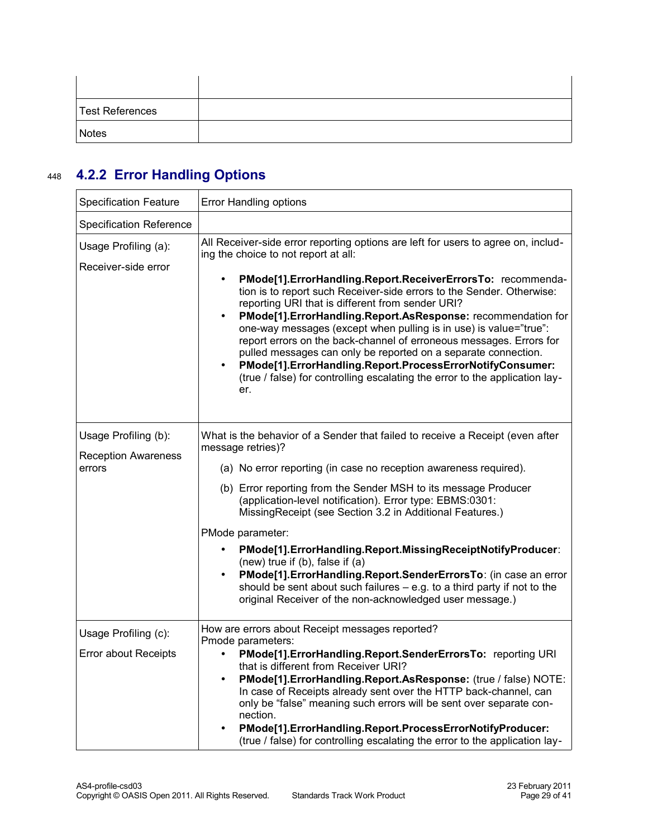| Test References |  |
|-----------------|--|
| <b>Notes</b>    |  |

## **4.2.2 Error Handling Options** 448

<span id="page-28-0"></span>

| <b>Specification Feature</b>                                 | Error Handling options                                                                                                                                                                                                                                                                                                                                                                                                                                                                                                                                                                                                                                                                                                                                              |
|--------------------------------------------------------------|---------------------------------------------------------------------------------------------------------------------------------------------------------------------------------------------------------------------------------------------------------------------------------------------------------------------------------------------------------------------------------------------------------------------------------------------------------------------------------------------------------------------------------------------------------------------------------------------------------------------------------------------------------------------------------------------------------------------------------------------------------------------|
| <b>Specification Reference</b>                               |                                                                                                                                                                                                                                                                                                                                                                                                                                                                                                                                                                                                                                                                                                                                                                     |
| Usage Profiling (a):<br>Receiver-side error                  | All Receiver-side error reporting options are left for users to agree on, includ-<br>ing the choice to not report at all:<br>PMode[1].ErrorHandling.Report.ReceiverErrorsTo: recommenda-<br>tion is to report such Receiver-side errors to the Sender. Otherwise:<br>reporting URI that is different from sender URI?<br>PMode[1].ErrorHandling.Report.AsResponse: recommendation for<br>one-way messages (except when pulling is in use) is value="true":<br>report errors on the back-channel of erroneous messages. Errors for<br>pulled messages can only be reported on a separate connection.<br>PMode[1].ErrorHandling.Report.ProcessErrorNotifyConsumer:<br>$\bullet$<br>(true / false) for controlling escalating the error to the application lay-<br>er. |
| Usage Profiling (b):<br><b>Reception Awareness</b><br>errors | What is the behavior of a Sender that failed to receive a Receipt (even after<br>message retries)?<br>(a) No error reporting (in case no reception awareness required).<br>(b) Error reporting from the Sender MSH to its message Producer<br>(application-level notification). Error type: EBMS:0301:<br>MissingReceipt (see Section 3.2 in Additional Features.)<br>PMode parameter:<br>PMode[1].ErrorHandling.Report.MissingReceiptNotifyProducer:<br>$\bullet$<br>(new) true if $(b)$ , false if $(a)$<br>PMode[1]. ErrorHandling. Report. Sender Errors To: (in case an error<br>$\bullet$<br>should be sent about such failures $-$ e.g. to a third party if not to the<br>original Receiver of the non-acknowledged user message.)                           |
| Usage Profiling (c):<br><b>Error about Receipts</b>          | How are errors about Receipt messages reported?<br>Pmode parameters:<br>PMode[1].ErrorHandling.Report.SenderErrorsTo: reporting URI<br>that is different from Receiver URI?<br>PMode[1].ErrorHandling.Report.AsResponse: (true / false) NOTE:<br>In case of Receipts already sent over the HTTP back-channel, can<br>only be "false" meaning such errors will be sent over separate con-<br>nection.<br>PMode[1].ErrorHandling.Report.ProcessErrorNotifyProducer:<br>(true / false) for controlling escalating the error to the application lay-                                                                                                                                                                                                                    |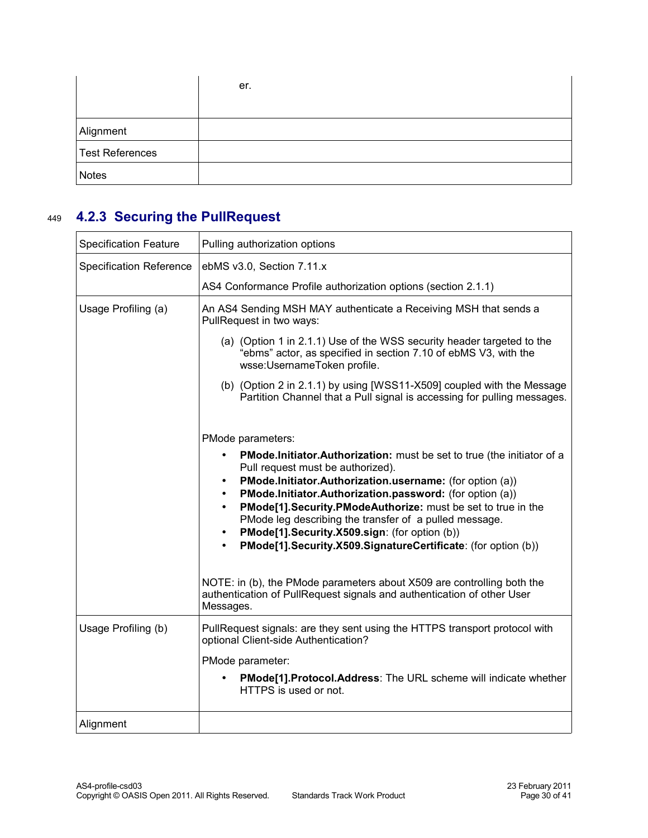|                        | er. |
|------------------------|-----|
|                        |     |
| Alignment              |     |
| <b>Test References</b> |     |
| <b>Notes</b>           |     |

#### **4.2.3 Securing the PullRequest** 449

<span id="page-29-0"></span>

| <b>Specification Feature</b>   | Pulling authorization options                                                                                                                                                                                                                                                                                                                                                                                                                                                                             |
|--------------------------------|-----------------------------------------------------------------------------------------------------------------------------------------------------------------------------------------------------------------------------------------------------------------------------------------------------------------------------------------------------------------------------------------------------------------------------------------------------------------------------------------------------------|
| <b>Specification Reference</b> | ebMS v3.0, Section 7.11.x                                                                                                                                                                                                                                                                                                                                                                                                                                                                                 |
|                                | AS4 Conformance Profile authorization options (section 2.1.1)                                                                                                                                                                                                                                                                                                                                                                                                                                             |
| Usage Profiling (a)            | An AS4 Sending MSH MAY authenticate a Receiving MSH that sends a<br>PullRequest in two ways:                                                                                                                                                                                                                                                                                                                                                                                                              |
|                                | (a) (Option 1 in 2.1.1) Use of the WSS security header targeted to the<br>"ebms" actor, as specified in section 7.10 of ebMS V3, with the<br>wsse:UsernameToken profile.                                                                                                                                                                                                                                                                                                                                  |
|                                | (b) (Option 2 in 2.1.1) by using [WSS11-X509] coupled with the Message<br>Partition Channel that a Pull signal is accessing for pulling messages.                                                                                                                                                                                                                                                                                                                                                         |
|                                | PMode parameters:                                                                                                                                                                                                                                                                                                                                                                                                                                                                                         |
|                                | <b>PMode.Initiator.Authorization:</b> must be set to true (the initiator of a<br>Pull request must be authorized).<br>PMode.Initiator.Authorization.username: (for option (a))<br>$\bullet$<br>PMode.Initiator.Authorization.password: (for option (a))<br>PMode[1]. Security. PModeAuthorize: must be set to true in the<br>PMode leg describing the transfer of a pulled message.<br>PMode[1].Security.X509.sign: (for option (b))<br>PMode[1]. Security. X509. Signature Certificate: (for option (b)) |
|                                | NOTE: in (b), the PMode parameters about X509 are controlling both the<br>authentication of PullRequest signals and authentication of other User<br>Messages.                                                                                                                                                                                                                                                                                                                                             |
| Usage Profiling (b)            | PullRequest signals: are they sent using the HTTPS transport protocol with<br>optional Client-side Authentication?                                                                                                                                                                                                                                                                                                                                                                                        |
|                                | PMode parameter:                                                                                                                                                                                                                                                                                                                                                                                                                                                                                          |
|                                | PMode[1].Protocol.Address: The URL scheme will indicate whether<br>HTTPS is used or not.                                                                                                                                                                                                                                                                                                                                                                                                                  |
| Alignment                      |                                                                                                                                                                                                                                                                                                                                                                                                                                                                                                           |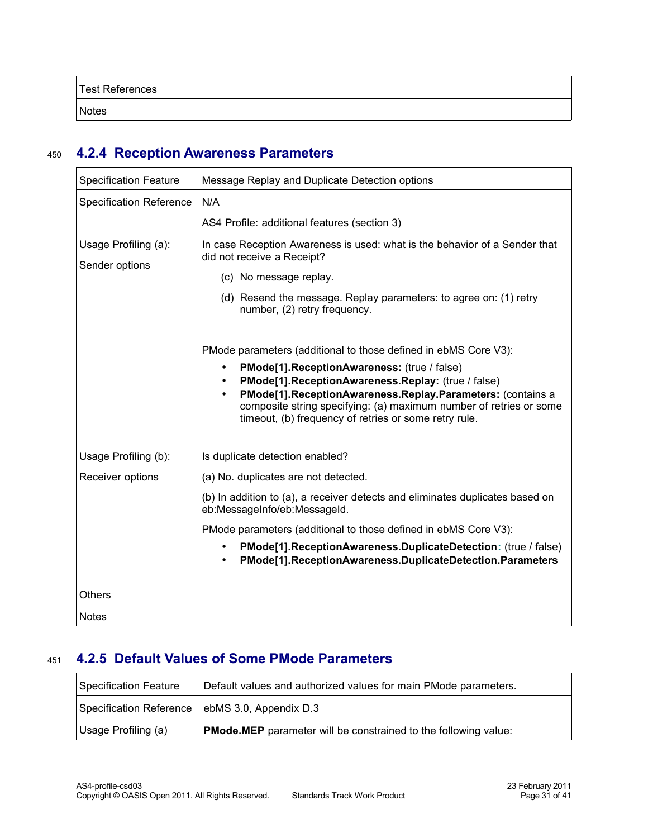| <b>Test References</b> |  |
|------------------------|--|
| <b>Notes</b>           |  |

#### **4.2.4 Reception Awareness Parameters** 450

<span id="page-30-0"></span>

| <b>Specification Feature</b>           | Message Replay and Duplicate Detection options                                                                                                                                                                                                                                                                           |
|----------------------------------------|--------------------------------------------------------------------------------------------------------------------------------------------------------------------------------------------------------------------------------------------------------------------------------------------------------------------------|
| <b>Specification Reference</b>         | N/A                                                                                                                                                                                                                                                                                                                      |
|                                        | AS4 Profile: additional features (section 3)                                                                                                                                                                                                                                                                             |
| Usage Profiling (a):<br>Sender options | In case Reception Awareness is used: what is the behavior of a Sender that<br>did not receive a Receipt?                                                                                                                                                                                                                 |
|                                        | (c) No message replay.                                                                                                                                                                                                                                                                                                   |
|                                        | (d) Resend the message. Replay parameters: to agree on: (1) retry<br>number, (2) retry frequency.                                                                                                                                                                                                                        |
|                                        | PMode parameters (additional to those defined in ebMS Core V3):                                                                                                                                                                                                                                                          |
|                                        | PMode[1].ReceptionAwareness: (true / false)<br>$\bullet$<br>PMode[1].ReceptionAwareness.Replay: (true / false)<br>PMode[1].ReceptionAwareness.Replay.Parameters: (contains a<br>$\bullet$<br>composite string specifying: (a) maximum number of retries or some<br>timeout, (b) frequency of retries or some retry rule. |
| Usage Profiling (b):                   | Is duplicate detection enabled?                                                                                                                                                                                                                                                                                          |
| Receiver options                       | (a) No. duplicates are not detected.                                                                                                                                                                                                                                                                                     |
|                                        | (b) In addition to (a), a receiver detects and eliminates duplicates based on<br>eb:MessageInfo/eb:MessageId.                                                                                                                                                                                                            |
|                                        | PMode parameters (additional to those defined in ebMS Core V3):                                                                                                                                                                                                                                                          |
|                                        | PMode[1]. Reception Awareness. Duplicate Detection: (true / false)<br>$\bullet$<br>PMode[1].ReceptionAwareness.DuplicateDetection.Parameters<br>٠                                                                                                                                                                        |
| <b>Others</b>                          |                                                                                                                                                                                                                                                                                                                          |
| <b>Notes</b>                           |                                                                                                                                                                                                                                                                                                                          |

#### **4.2.5 Default Values of Some PMode Parameters** 451

<span id="page-30-1"></span>

| Specification Feature                            | Default values and authorized values for main PMode parameters.        |
|--------------------------------------------------|------------------------------------------------------------------------|
| Specification Reference   ebMS 3.0, Appendix D.3 |                                                                        |
| Usage Profiling (a)                              | <b>PMode.MEP</b> parameter will be constrained to the following value: |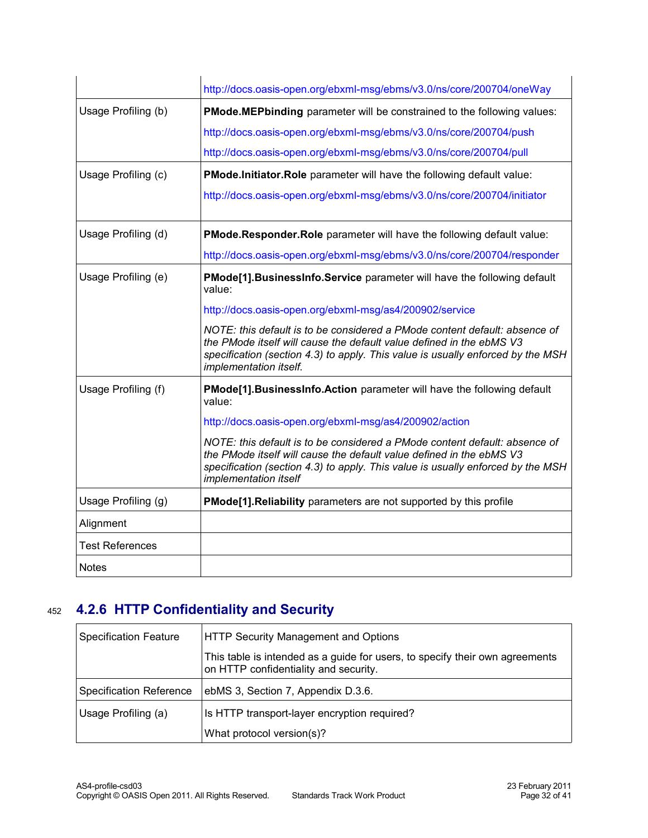|                        | http://docs.oasis-open.org/ebxml-msg/ebms/v3.0/ns/core/200704/oneWay                                                                                                                                                                                            |
|------------------------|-----------------------------------------------------------------------------------------------------------------------------------------------------------------------------------------------------------------------------------------------------------------|
| Usage Profiling (b)    | PMode.MEPbinding parameter will be constrained to the following values:                                                                                                                                                                                         |
|                        | http://docs.oasis-open.org/ebxml-msg/ebms/v3.0/ns/core/200704/push                                                                                                                                                                                              |
|                        | http://docs.oasis-open.org/ebxml-msg/ebms/v3.0/ns/core/200704/pull                                                                                                                                                                                              |
| Usage Profiling (c)    | PMode.Initiator.Role parameter will have the following default value:                                                                                                                                                                                           |
|                        | http://docs.oasis-open.org/ebxml-msg/ebms/v3.0/ns/core/200704/initiator                                                                                                                                                                                         |
| Usage Profiling (d)    | PMode.Responder.Role parameter will have the following default value:                                                                                                                                                                                           |
|                        | http://docs.oasis-open.org/ebxml-msg/ebms/v3.0/ns/core/200704/responder                                                                                                                                                                                         |
| Usage Profiling (e)    | PMode[1]. BusinessInfo. Service parameter will have the following default<br>value:                                                                                                                                                                             |
|                        | http://docs.oasis-open.org/ebxml-msg/as4/200902/service                                                                                                                                                                                                         |
|                        | NOTE: this default is to be considered a PMode content default: absence of<br>the PMode itself will cause the default value defined in the ebMS V3<br>specification (section 4.3) to apply. This value is usually enforced by the MSH<br>implementation itself. |
| Usage Profiling (f)    | PMode[1]. BusinessInfo. Action parameter will have the following default<br>value:                                                                                                                                                                              |
|                        | http://docs.oasis-open.org/ebxml-msg/as4/200902/action                                                                                                                                                                                                          |
|                        | NOTE: this default is to be considered a PMode content default: absence of<br>the PMode itself will cause the default value defined in the ebMS V3<br>specification (section 4.3) to apply. This value is usually enforced by the MSH<br>implementation itself  |
| Usage Profiling (g)    | PMode[1]. Reliability parameters are not supported by this profile                                                                                                                                                                                              |
| Alignment              |                                                                                                                                                                                                                                                                 |
| <b>Test References</b> |                                                                                                                                                                                                                                                                 |
| <b>Notes</b>           |                                                                                                                                                                                                                                                                 |

## **4.2.6 HTTP Confidentiality and Security** 452

<span id="page-31-0"></span>

| <b>Specification Feature</b>   | HTTP Security Management and Options                                                                                  |
|--------------------------------|-----------------------------------------------------------------------------------------------------------------------|
|                                | This table is intended as a guide for users, to specify their own agreements<br>on HTTP confidentiality and security. |
| <b>Specification Reference</b> | ebMS 3, Section 7, Appendix D.3.6.                                                                                    |
| Usage Profiling (a)            | Is HTTP transport-layer encryption required?                                                                          |
|                                | What protocol version(s)?                                                                                             |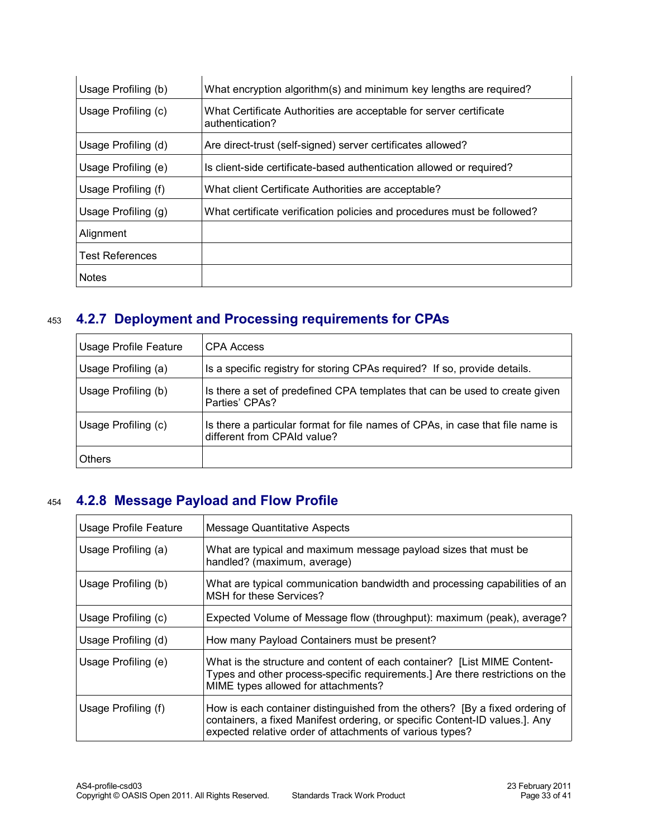| Usage Profiling (b) | What encryption algorithm(s) and minimum key lengths are required?                    |
|---------------------|---------------------------------------------------------------------------------------|
| Usage Profiling (c) | What Certificate Authorities are acceptable for server certificate<br>authentication? |
| Usage Profiling (d) | Are direct-trust (self-signed) server certificates allowed?                           |
| Usage Profiling (e) | Is client-side certificate-based authentication allowed or required?                  |
| Usage Profiling (f) | What client Certificate Authorities are acceptable?                                   |
| Usage Profiling (g) | What certificate verification policies and procedures must be followed?               |
| Alignment           |                                                                                       |
| Test References     |                                                                                       |
| <b>Notes</b>        |                                                                                       |

#### **4.2.7 Deployment and Processing requirements for CPAs** 453

<span id="page-32-1"></span>

| <b>Usage Profile Feature</b> | CPA Access                                                                                                    |
|------------------------------|---------------------------------------------------------------------------------------------------------------|
| Usage Profiling (a)          | Is a specific registry for storing CPAs required? If so, provide details.                                     |
| Usage Profiling (b)          | Is there a set of predefined CPA templates that can be used to create given<br>Parties' CPAs?                 |
| Usage Profiling (c)          | Is there a particular format for file names of CPAs, in case that file name is<br>different from CPAId value? |
| <b>Others</b>                |                                                                                                               |

#### **4.2.8 Message Payload and Flow Profile** 454

<span id="page-32-0"></span>

| <b>Usage Profile Feature</b> | Message Quantitative Aspects                                                                                                                                                                                            |
|------------------------------|-------------------------------------------------------------------------------------------------------------------------------------------------------------------------------------------------------------------------|
| Usage Profiling (a)          | What are typical and maximum message payload sizes that must be<br>handled? (maximum, average)                                                                                                                          |
| Usage Profiling (b)          | What are typical communication bandwidth and processing capabilities of an<br>MSH for these Services?                                                                                                                   |
| Usage Profiling (c)          | Expected Volume of Message flow (throughput): maximum (peak), average?                                                                                                                                                  |
| Usage Profiling (d)          | How many Payload Containers must be present?                                                                                                                                                                            |
| Usage Profiling (e)          | What is the structure and content of each container? [List MIME Content-<br>Types and other process-specific requirements.] Are there restrictions on the<br>MIME types allowed for attachments?                        |
| Usage Profiling (f)          | How is each container distinguished from the others? [By a fixed ordering of<br>containers, a fixed Manifest ordering, or specific Content-ID values.]. Any<br>expected relative order of attachments of various types? |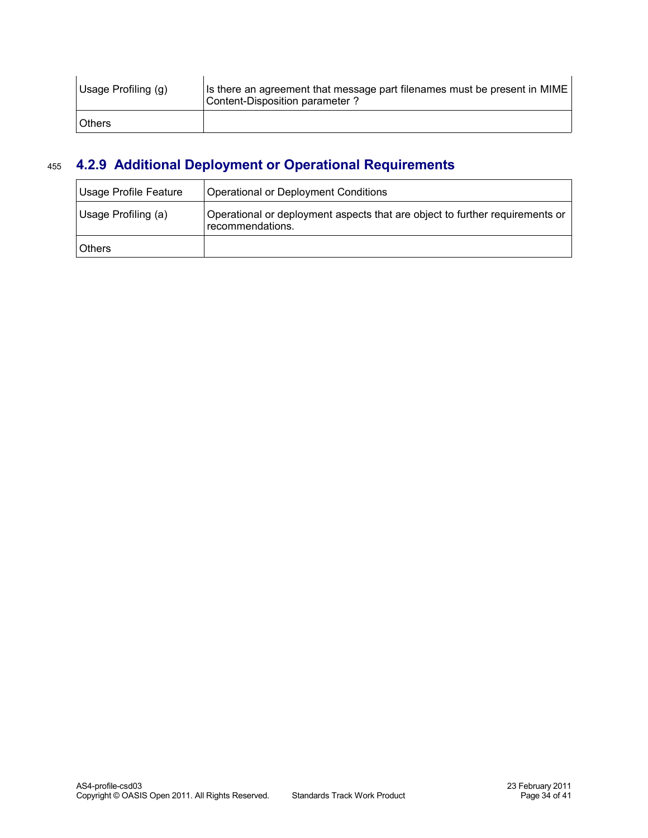| Usage Profiling (g) | Is there an agreement that message part filenames must be present in MIME<br>Content-Disposition parameter? |
|---------------------|-------------------------------------------------------------------------------------------------------------|
| <b>Others</b>       |                                                                                                             |

#### **4.2.9 Additional Deployment or Operational Requirements** 455

<span id="page-33-0"></span>

| Usage Profile Feature | Operational or Deployment Conditions                                                             |
|-----------------------|--------------------------------------------------------------------------------------------------|
| Usage Profiling (a)   | Operational or deployment aspects that are object to further requirements or<br>recommendations. |
| <b>Others</b>         |                                                                                                  |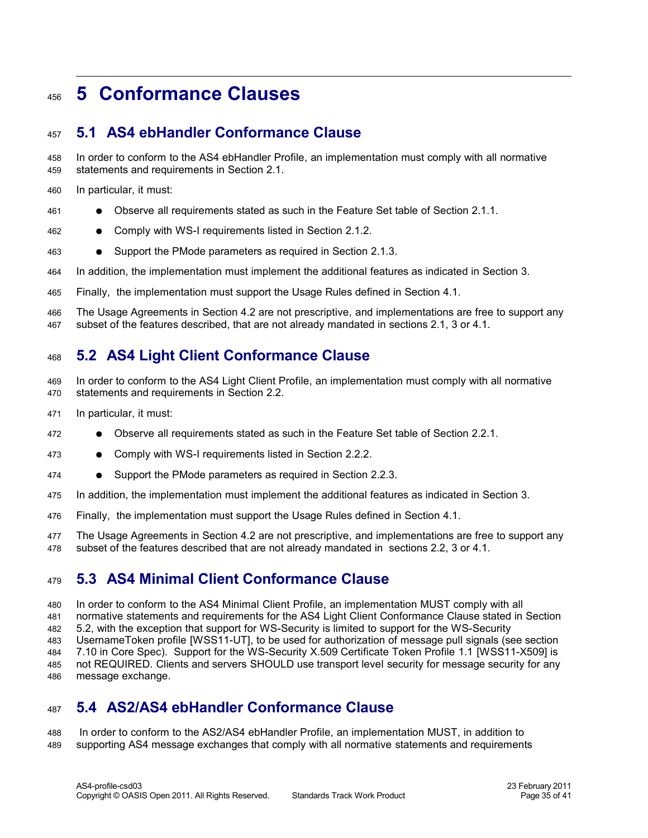#### <span id="page-34-4"></span>**5 Conformance Clauses** 456

#### <span id="page-34-3"></span>**5.1 AS4 ebHandler Conformance Clause** 457

In order to conform to the AS4 ebHandler Profile, an implementation must comply with all normative statements and requirements in Section 2.1. 458 459

- In particular, it must: 460
- Observe all requirements stated as such in the Feature Set table of Section 2.1.1. 461
- Comply with WS-I requirements listed in Section 2.1.2. 462
- Support the PMode parameters as required in Section 2.1.3. 463
- In addition, the implementation must implement the additional features as indicated in Section 3. 464
- Finally, the implementation must support the Usage Rules defined in Section 4.1. 465

The Usage Agreements in Section 4.2 are not prescriptive, and implementations are free to support any subset of the features described, that are not already mandated in sections 2.1, 3 or 4.1. 466 467

#### <span id="page-34-2"></span>**5.2 AS4 Light Client Conformance Clause** 468

- In order to conform to the AS4 Light Client Profile, an implementation must comply with all normative statements and requirements in Section 2.2. 469 470
- In particular, it must: 471
- Observe all requirements stated as such in the Feature Set table of Section 2.2.1. 472
- Comply with WS-I requirements listed in Section 2.2.2. 473
- Support the PMode parameters as required in Section 2.2.3. 474
- In addition, the implementation must implement the additional features as indicated in Section 3. 475
- Finally, the implementation must support the Usage Rules defined in Section 4.1. 476
- The Usage Agreements in Section 4.2 are not prescriptive, and implementations are free to support any subset of the features described that are not already mandated in sections 2.2, 3 or 4.1. 477 478

#### <span id="page-34-1"></span>**5.3 AS4 Minimal Client Conformance Clause** 479

In order to conform to the AS4 Minimal Client Profile, an implementation MUST comply with all normative statements and requirements for the AS4 Light Client Conformance Clause stated in Section 5.2, with the exception that support for WS-Security is limited to support for the WS-Security UsernameToken profile [\[WSS11-UT\],](#page-7-13) to be used for authorization of message pull signals (see section 7.10 in Core Spec). Support for the WS-Security X.509 Certificate Token Profile 1.1 [\[WSS11-X509\]](#page-7-11) is not REQUIRED. Clients and servers SHOULD use transport level security for message security for any message exchange. 480 481 482 483 484 485 486

#### <span id="page-34-0"></span>**5.4 AS2/AS4 ebHandler Conformance Clause** 487

 In order to conform to the AS2/AS4 ebHandler Profile, an implementation MUST, in addition to supporting AS4 message exchanges that comply with all normative statements and requirements 488 489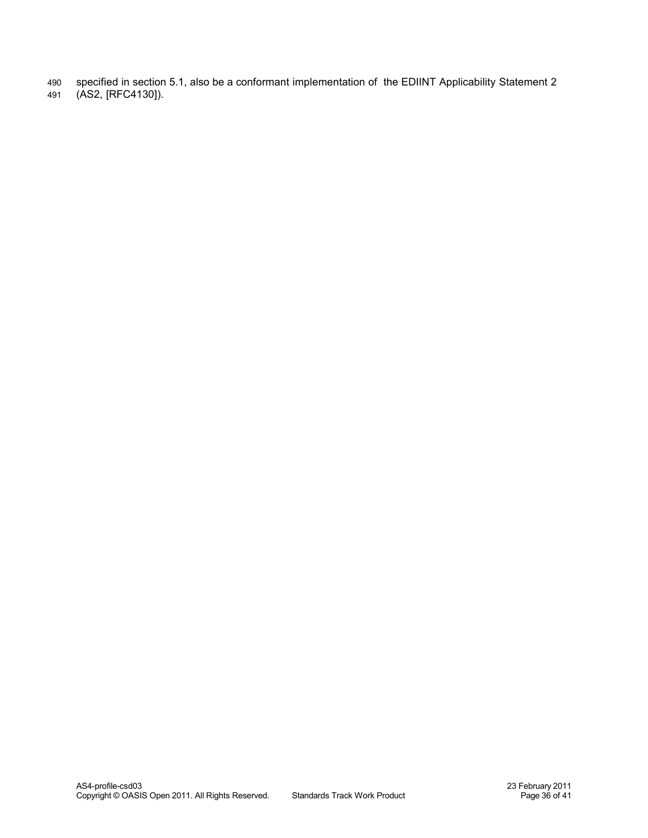- specified in section 5.1, also be a conformant implementation of the EDIINT Applicability Statement 2 490
- (AS2, [\[RFC4130\]\)](#page-7-5). 491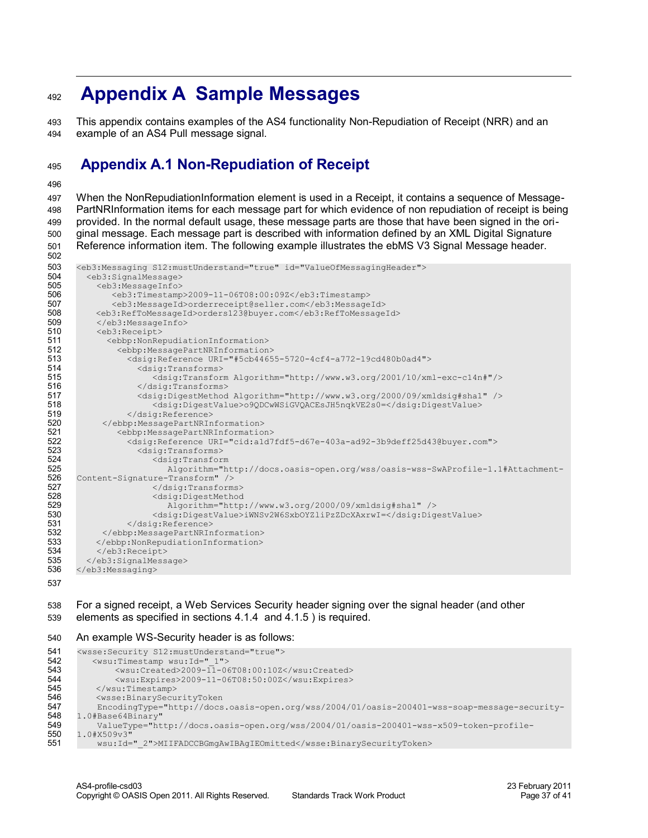### <span id="page-36-1"></span> **Appendix A Sample Messages** 492

This appendix contains examples of the AS4 functionality Non-Repudiation of Receipt (NRR) and an example of an AS4 Pull message signal. 493 494

#### <span id="page-36-0"></span>**Appendix A.1 Non-Repudiation of Receipt** 495

496

502

When the NonRepudiationInformation element is used in a Receipt, it contains a sequence of Message-PartNRInformation items for each message part for which evidence of non repudiation of receipt is being provided. In the normal default usage, these message parts are those that have been signed in the original message. Each message part is described with information defined by an XML Digital Signature Reference information item. The following example illustrates the ebMS V3 Signal Message header. 497 498 499 500 501

```
<eb3:Messaging S12:mustUnderstand="true" id="ValueOfMessagingHeader">
         <eb3:SignalMessage>
           <eb3:MessageInfo>
              <eb3:Timestamp>2009-11-06T08:00:09Z</eb3:Timestamp> 
              <eb3:MessageId>orderreceipt@seller.com</eb3:MessageId> 
          <eb3:RefToMessageId>orders123@buyer.com</eb3:RefToMessageId> 
           </eb3:MessageInfo>
           <eb3:Receipt>
             <ebbp:NonRepudiationInformation>
               <ebbp:MessagePartNRInformation>
                 <dsig:Reference URI="#5cb44655-5720-4cf4-a772-19cd480b0ad4">
                   <dsig:Transforms>
                      <dsig:Transform Algorithm="http://www.w3.org/2001/10/xml-exc-c14n#"/> 
                   </dsig:Transforms>
                   <dsig:DigestMethod Algorithm="http://www.w3.org/2000/09/xmldsig#sha1" />
                      <dsig:DigestValue>o9QDCwWSiGVQACEsJH5nqkVE2s0=</dsig:DigestValue> 
                 </dsig:Reference>
            </ebbp:MessagePartNRInformation>
               <ebbp:MessagePartNRInformation>
                 <dsig:Reference URI="cid:a1d7fdf5-d67e-403a-ad92-3b9deff25d43@buyer.com">
                   <dsig:Transforms>
                      <dsig:Transform 
                         Algorithm="http://docs.oasis-open.org/wss/oasis-wss-SwAProfile-1.1#Attachment-
     Content-Signature-Transform" /> 
                      </dsig:Transforms>
                      <dsig:DigestMethod 
                         Algorithm="http://www.w3.org/2000/09/xmldsig#sha1" /> 
                      <dsig:DigestValue>iWNSv2W6SxbOYZliPzZDcXAxrwI=</dsig:DigestValue>
                 </dsig:Reference>
            </ebbp:MessagePartNRInformation>
          </ebbp:NonRepudiationInformation>
           </eb3:Receipt>
        </eb3:SignalMessage>
      </eb3:Messaging>
503
504
505
506
507
508
509
510
511
512
513
514
515
516
517
518
519
520
521
522
523
524
525
526
527
528
529
530
531
532
533
534
535
536
537
```
#### For a signed receipt, a Web Services Security header signing over the signal header (and other elements as specified in sections [4.1.4](#page-24-1) and [4.1.5 \)](#page-24-0) is required. 538 539

An example WS-Security header is as follows: 540

```
<wsse:Security S12:mustUnderstand="true"> 
          <wsu:Timestamp wsu:Id="_1">
             <wsu:Created>2009-11-06T08:00:10Z</wsu:Created>
             <wsu:Expires>2009-11-06T08:50:00Z</wsu:Expires>
         </wsu:Timestamp>
          <wsse:BinarySecurityToken 
           EncodingType="http://docs.oasis-open.org/wss/2004/01/oasis-200401-wss-soap-message-security-
     1.0#Base64Binary"
           ValueType="http://docs.oasis-open.org/wss/2004/01/oasis-200401-wss-x509-token-profile-
      1.0#X509v3" 
          wsu:Id="_2">MIIFADCCBGmgAwIBAgIEOmitted</wsse:BinarySecurityToken>
541
542
543
544
545
546
547
548
549
550
551
```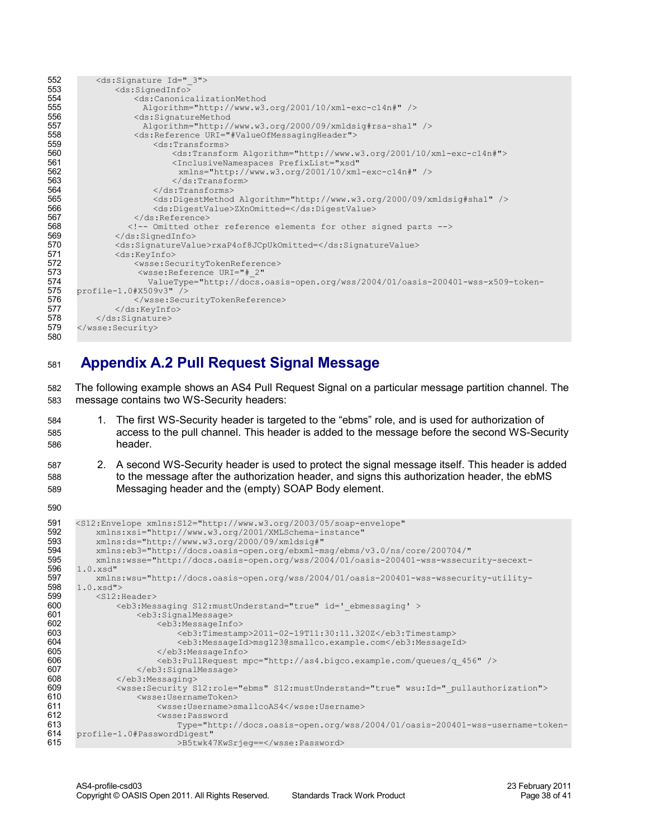| 552 | <ds:signature id=" 3"></ds:signature>                                                  |
|-----|----------------------------------------------------------------------------------------|
| 553 | <ds:signedinfo></ds:signedinfo>                                                        |
| 554 | <ds:canonicalizationmethod< th=""></ds:canonicalizationmethod<>                        |
| 555 | Algorithm="http://www.w3.org/2001/10/xml-exc-c14n#" />                                 |
| 556 | <ds:signaturemethod< th=""></ds:signaturemethod<>                                      |
| 557 | Algorithm="http://www.w3.org/2000/09/xmldsig#rsa-shal" />                              |
| 558 | <ds:reference uri="#ValueOfMessagingHeader"></ds:reference>                            |
| 559 | <ds:transforms></ds:transforms>                                                        |
| 560 | <ds:transform algorithm="http://www.w3.org/2001/10/xml-exc-c14n#"></ds:transform>      |
| 561 | <inclusivenamespaces <="" prefixlist="xsd" th=""></inclusivenamespaces>                |
| 562 | xmlns="http://www.w3.org/2001/10/xml-exc-c14n#" />                                     |
| 563 | $\langle$ /ds:Transform>                                                               |
| 564 | $\langle$ /ds:Transforms>                                                              |
| 565 | <ds:digestmethod algorithm="http://www.w3.org/2000/09/xmldsig#shal"></ds:digestmethod> |
| 566 | <ds:digestvalue>ZXnOmitted=</ds:digestvalue>                                           |
| 567 | $\langle$ /ds:Reference>                                                               |
| 568 | Omitted other reference elements for other signed parts                                |
| 569 | $\langle$ /ds:SignedInfo>                                                              |
| 570 | <ds:signaturevalue>rxaP4of8JCpUkOmitted=</ds:signaturevalue>                           |
| 571 | <ds:keyinfo></ds:keyinfo>                                                              |
| 572 | <wsse:securitytokenreference></wsse:securitytokenreference>                            |
| 573 | <wsse: <="" reference="" th="" uri="# 2"></wsse:>                                      |
| 574 | ValueType="http://docs.oasis-open.org/wss/2004/01/oasis-200401-wss-x509-token-         |
| 575 | profile-1.0#X509v3" />                                                                 |
| 576 |                                                                                        |
| 577 | $\langle$ /ds:KeyInfo>                                                                 |
| 578 |                                                                                        |
| 579 |                                                                                        |
| 580 |                                                                                        |

#### <span id="page-37-0"></span>**Appendix A.2 Pull Request Signal Message** 581

The following example shows an AS4 Pull Request Signal on a particular message partition channel. The message contains two WS-Security headers: 582 583

- 1. The first WS-Security header is targeted to the "ebms" role, and is used for authorization of access to the pull channel. This header is added to the message before the second WS-Security header. 584 585 586
- 2. A second WS-Security header is used to protect the signal message itself. This header is added to the message after the authorization header, and signs this authorization header, the ebMS Messaging header and the (empty) SOAP Body element. 587 588 589

```
<S12:Envelope xmlns:S12="http://www.w3.org/2003/05/soap-envelope"
           xmlns:xsi="http://www.w3.org/2001/XMLSchema-instance"
           xmlns:ds="http://www.w3.org/2000/09/xmldsig#"
           xmlns:eb3="http://docs.oasis-open.org/ebxml-msg/ebms/v3.0/ns/core/200704/"
           xmlns:wsse="http://docs.oasis-open.org/wss/2004/01/oasis-200401-wss-wssecurity-secext-
      1.0.xsd"
          xmlns:wsu="http://docs.oasis-open.org/wss/2004/01/oasis-200401-wss-wssecurity-utility-
     1.0.xsd">
           <S12:Header>
               <eb3:Messaging S12:mustUnderstand="true" id='_ebmessaging' >
                   <eb3:SignalMessage>
                       <eb3:MessageInfo>
                            <eb3:Timestamp>2011-02-19T11:30:11.320Z</eb3:Timestamp>
                            <eb3:MessageId>msg123@smallco.example.com</eb3:MessageId>
                       </eb3:MessageInfo>
                       <eb3:PullRequest mpc="http://as4.bigco.example.com/queues/q_456" /> 
                   </eb3:SignalMessage>
               </eb3:Messaging>
               <wsse:Security S12:role="ebms" S12:mustUnderstand="true" wsu:Id="_pullauthorization">
                   <wsse:UsernameToken>
                       <wsse:Username>smallcoAS4</wsse:Username>
                       <wsse:Password 
                           Type="http://docs.oasis-open.org/wss/2004/01/oasis-200401-wss-username-token-
      profile-1.0#PasswordDigest"
                           >B5twk47KwSrjeg==</wsse:Password>
591
592
593
594
595
596
597
598
599
600
601
602
603
604
605
606
607
608
609
610
611
612
613
614
615
```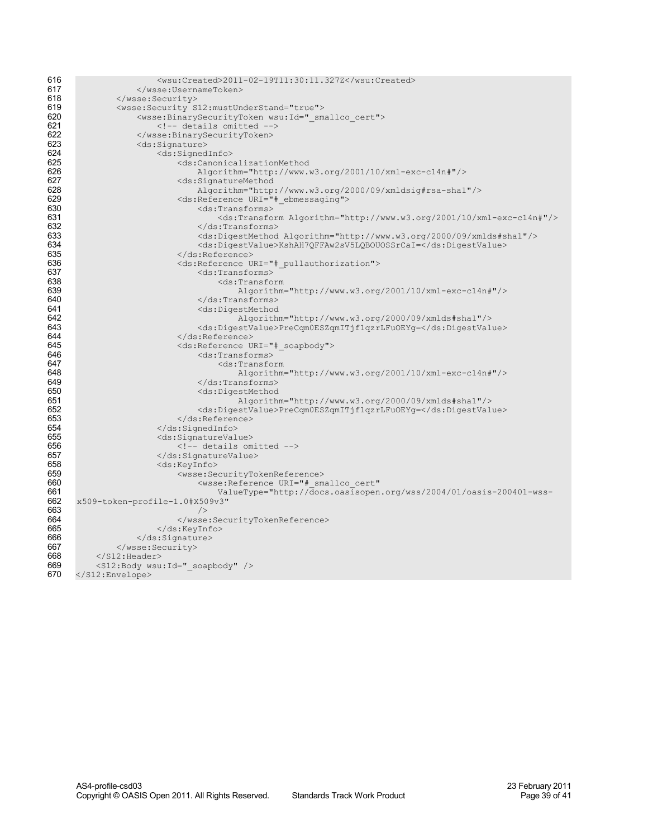| 616 | $<$ wsu:Created>2011-02-19T11:30:11.327Z                                             |
|-----|--------------------------------------------------------------------------------------|
| 617 |                                                                                      |
| 618 |                                                                                      |
| 619 |                                                                                      |
|     | <wsse:security s12:mustunderstand="true"></wsse:security>                            |
| 620 | <wsse:binarysecuritytoken wsu:id=" smallco cert"></wsse:binarysecuritytoken>         |
| 621 | details omitted                                                                      |
| 622 |                                                                                      |
| 623 | <ds:signature></ds:signature>                                                        |
| 624 | <ds:signedinfo></ds:signedinfo>                                                      |
| 625 | <ds:canonicalizationmethod< th=""></ds:canonicalizationmethod<>                      |
| 626 | $\text{Algorithm}="http://www.w3.org/2001/10/xml-exc-c14n#"$ />                      |
| 627 | <ds:signaturemethod< th=""></ds:signaturemethod<>                                    |
| 628 |                                                                                      |
|     | Algorithm="http://www.w3.org/2000/09/xmldsig#rsa-shal"/>                             |
| 629 | <ds:reference uri="# ebmessaging"></ds:reference>                                    |
| 630 | <ds:transforms></ds:transforms>                                                      |
| 631 | <ds:transform algorithm="http://www.w3.org/2001/10/xml-exc-c14n#"></ds:transform>    |
| 632 | $\langle$ /ds:Transforms>                                                            |
| 633 | <ds:digestmethod algorithm="http://www.w3.org/2000/09/xmlds#shal"></ds:digestmethod> |
| 634 | <ds:digestvalue>KshAH7QFFAw2sV5LQBOUOSSrCaI=</ds:digestvalue>                        |
| 635 | $\langle$ /ds:Reference>                                                             |
| 636 | <ds:reference uri="# pullauthorization"></ds:reference>                              |
| 637 | <ds:transforms></ds:transforms>                                                      |
| 638 | <ds:transform< th=""></ds:transform<>                                                |
| 639 |                                                                                      |
| 640 | Algorithm="http://www.w3.org/2001/10/xml-exc-c14n#"/>                                |
| 641 |                                                                                      |
|     | <ds:digestmethod< th=""></ds:digestmethod<>                                          |
| 642 | Algorithm="http://www.w3.org/2000/09/xmlds#sha1"/>                                   |
| 643 | <ds:digestvalue>PreCqm0ESZqmITjf1qzrLFuOEYq=</ds:digestvalue>                        |
| 644 |                                                                                      |
| 645 | <ds:reference uri="# soapbody"></ds:reference>                                       |
| 646 | <ds:transforms></ds:transforms>                                                      |
| 647 | <ds:transform< th=""></ds:transform<>                                                |
| 648 | Algorithm="http://www.w3.org/2001/10/xml-exc-c14n#"/>                                |
| 649 | $\langle$ /ds:Transforms>                                                            |
| 650 | <ds:digestmethod< th=""></ds:digestmethod<>                                          |
| 651 | Algorithm="http://www.w3.org/2000/09/xmlds#sha1"/>                                   |
| 652 | <ds:digestvalue>PreCqm0ESZqmITjf1qzrLFuOEYq=</ds:digestvalue>                        |
| 653 | $\langle$ /ds:Reference>                                                             |
| 654 |                                                                                      |
| 655 | <ds:signaturevalue></ds:signaturevalue>                                              |
| 656 | details omitted                                                                      |
| 657 |                                                                                      |
| 658 | <ds:keyinfo></ds:keyinfo>                                                            |
| 659 | <wsse:securitytokenreference></wsse:securitytokenreference>                          |
| 660 | <wsse: <="" reference="" th="" uri="# smallco cert"></wsse:>                         |
| 661 | ValueType="http://docs.oasisopen.org/wss/2004/01/oasis-200401-wss-                   |
| 662 | x509-token-profile-1.0#X509v3"                                                       |
| 663 |                                                                                      |
| 664 |                                                                                      |
| 665 |                                                                                      |
|     |                                                                                      |
| 666 | $\langle$ /ds:Signature>                                                             |
| 667 |                                                                                      |
| 668 | $\langle$ /S12:Header>                                                               |
| 669 | <s12:body wsu:id=" soapbody"></s12:body>                                             |
| 670 |                                                                                      |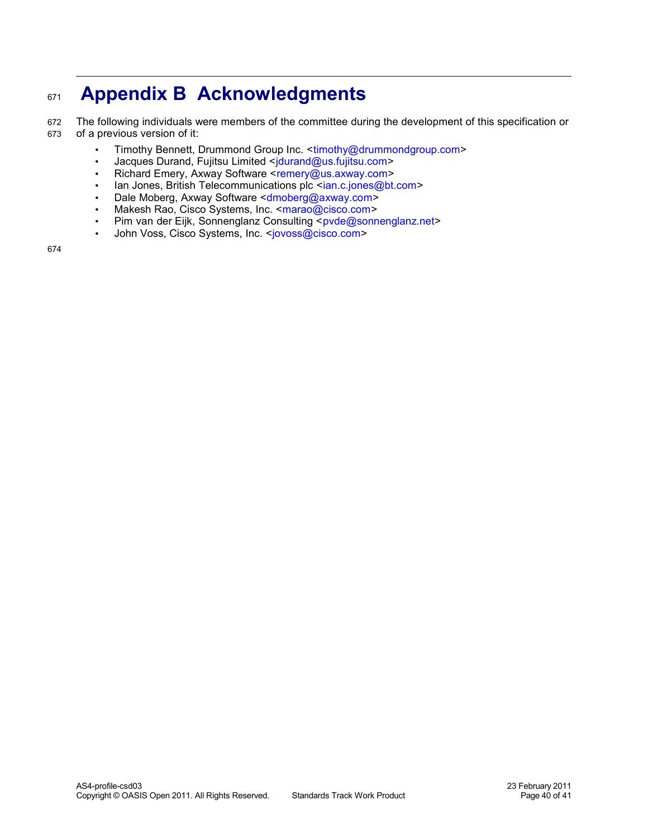### **Appendix B Acknowledgments** 671

The following individuals were members of the committee during the development of this specification or of a previous version of it: 672 673

- <span id="page-39-0"></span>• Timothy Bennett, Drummond Group Inc. <timothy@drummondgroup.com>
- Jacques Durand, Fujitsu Limited [<jdurand@us.fujitsu.com>](mailto:jdurand@us.fujitsu.com)
- Richard Emery, Axway Software [<remery@us.axway.com>](mailto:remery@us.axway.com)
- Ian Jones, British Telecommunications plc <[ian.c.jones@bt.com>](mailto:ian.c.jones@bt.com)
- Dale Moberg, Axway Software [<dmoberg@axway.com>](mailto:dmoberg@axway.com)
- Makesh Rao, Cisco Systems, Inc. [<marao@cisco.com>](mailto:marao@cisco.com)
- Pim van der Eijk, Sonnenglanz Consulting [<pvde@sonnenglanz.net>](mailto:pvde@sonnenglanz.net)
- John Voss, Cisco Systems, Inc. [<jovoss@cisco.com>](mailto:jovoss@cisco.com)